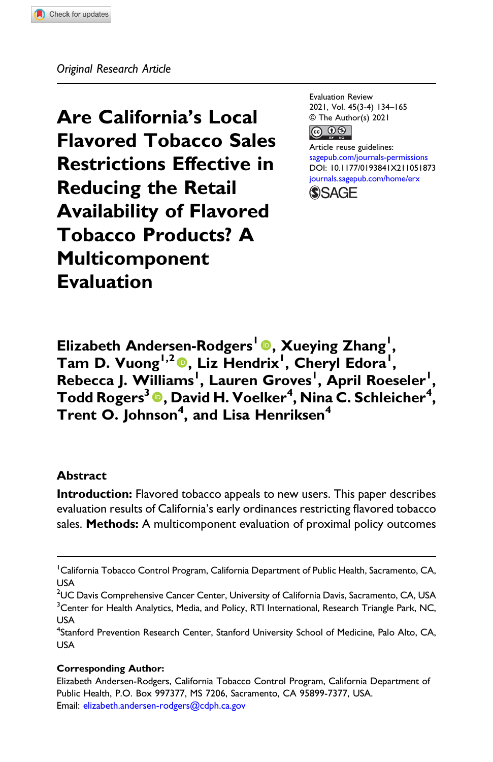Are California's Local Flavored Tobacco Sales Restrictions Effective in Reducing the Retail Availability of Flavored Tobacco Products? A Multicomponent Evaluation

Evaluation Review 2021, Vol. 45(3-4) 134–165 © The Author(s) 2021 <u>@ 00</u>

Article reuse guidelines: [sagepub.com/journals-permissions](https://us.sagepub.com/en-us/journals-permissions) DOI: [10.1177/0193841X211051873](https://doi.org/10.1177/0193841X211051873) [journals.sagepub.com/home/erx](https://journals.sagepub.com/home/erx) **SSAGE** 

Elizabeth Andersen-Rodgers<sup>1</sup> <sup>®</sup>, Xueying Zhang<sup>1</sup>, Tam D. Vuong<sup>1,2</sup><sup>0</sup>, Liz Hendrix<sup>1</sup>, Cheryl Edora<sup>1</sup>, Rebecca J. Williams<sup>1</sup>, Lauren Groves<sup>1</sup>, April Roeseler<sup>1</sup>, Todd Rogers $^3$   $\textcolor{blue} \bullet$ , David H. Voelker $^4$ , Nina C. Schleicher $^4$ , Trent O. Johnson<sup>4</sup>, and Lisa Henriksen<sup>4</sup>

#### Abstract

Introduction: Flavored tobacco appeals to new users. This paper describes evaluation results of California's early ordinances restricting flavored tobacco sales. Methods: A multicomponent evaluation of proximal policy outcomes

#### Corresponding Author:

<sup>&</sup>lt;sup>1</sup> California Tobacco Control Program, California Department of Public Health, Sacramento, CA, USA

 $^2$ UC Davis Comprehensive Cancer Center, University of California Davis, Sacramento, CA, USA <sup>3</sup>Center for Health Analytics, Media, and Policy, RTI International, Research Triangle Park, NC, USA

<sup>&</sup>lt;sup>4</sup>Stanford Prevention Research Center, Stanford University School of Medicine, Palo Alto, CA, USA

Elizabeth Andersen-Rodgers, California Tobacco Control Program, California Department of Public Health, P.O. Box 997377, MS 7206, Sacramento, CA 95899-7377, USA. Email: [elizabeth.andersen-rodgers@cdph.ca.gov](mailto:elizabeth.andersen-rodgers@cdph.ca.gov)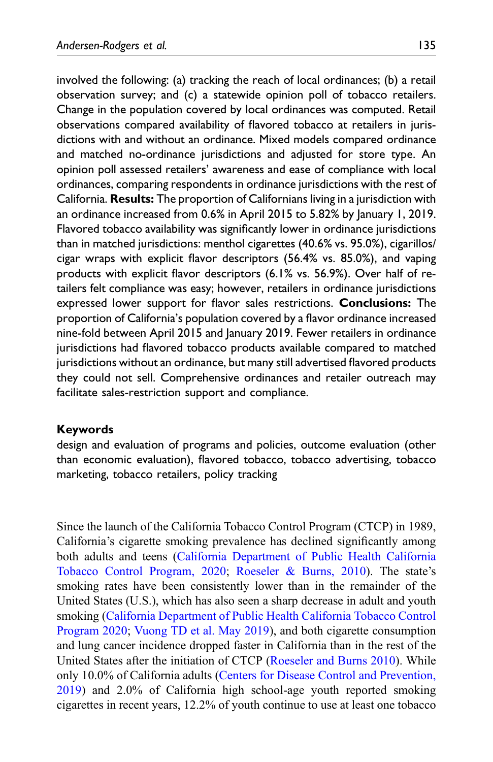involved the following: (a) tracking the reach of local ordinances; (b) a retail observation survey; and (c) a statewide opinion poll of tobacco retailers. Change in the population covered by local ordinances was computed. Retail observations compared availability of flavored tobacco at retailers in jurisdictions with and without an ordinance. Mixed models compared ordinance and matched no-ordinance jurisdictions and adjusted for store type. An opinion poll assessed retailers' awareness and ease of compliance with local ordinances, comparing respondents in ordinance jurisdictions with the rest of California. Results: The proportion of Californians living in a jurisdiction with an ordinance increased from 0.6% in April 2015 to 5.82% by January 1, 2019. Flavored tobacco availability was significantly lower in ordinance jurisdictions than in matched jurisdictions: menthol cigarettes (40.6% vs. 95.0%), cigarillos/ cigar wraps with explicit flavor descriptors (56.4% vs. 85.0%), and vaping products with explicit flavor descriptors (6.1% vs. 56.9%). Over half of retailers felt compliance was easy; however, retailers in ordinance jurisdictions expressed lower support for flavor sales restrictions. Conclusions: The proportion of California's population covered by a flavor ordinance increased nine-fold between April 2015 and January 2019. Fewer retailers in ordinance jurisdictions had flavored tobacco products available compared to matched jurisdictions without an ordinance, but many still advertised flavored products they could not sell. Comprehensive ordinances and retailer outreach may facilitate sales-restriction support and compliance.

### Keywords

design and evaluation of programs and policies, outcome evaluation (other than economic evaluation), flavored tobacco, tobacco advertising, tobacco marketing, tobacco retailers, policy tracking

Since the launch of the California Tobacco Control Program (CTCP) in 1989, California's cigarette smoking prevalence has declined significantly among both adults and teens [\(California Department of Public Health California](#page-25-0) [Tobacco Control Program, 2020;](#page-25-0) [Roeseler & Burns, 2010](#page-27-0)). The state's smoking rates have been consistently lower than in the remainder of the United States (U.S.), which has also seen a sharp decrease in adult and youth smoking [\(California Department of Public Health California Tobacco Control](#page-25-0) [Program 2020](#page-25-0); [Vuong TD et al. May 2019](#page-28-0)), and both cigarette consumption and lung cancer incidence dropped faster in California than in the rest of the United States after the initiation of CTCP [\(Roeseler and Burns 2010\)](#page-27-0). While only 10.0% of California adults [\(Centers for Disease Control and Prevention,](#page-25-1) [2019\)](#page-25-1) and 2.0% of California high school-age youth reported smoking cigarettes in recent years, 12.2% of youth continue to use at least one tobacco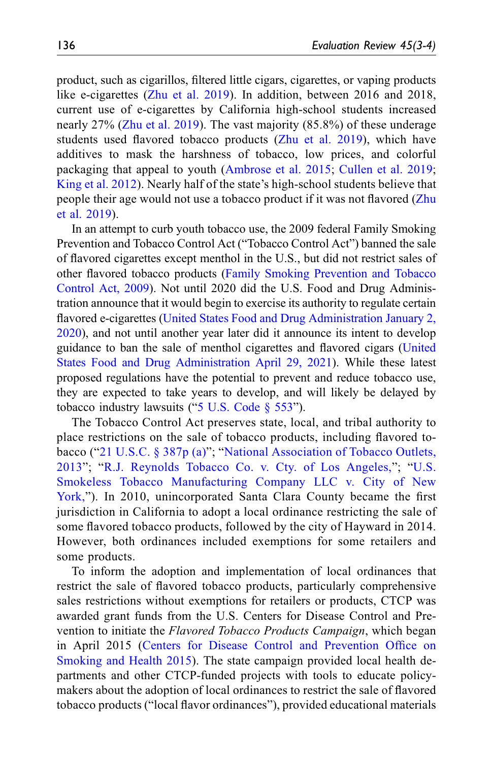product, such as cigarillos, filtered little cigars, cigarettes, or vaping products like e-cigarettes ([Zhu et al. 2019](#page-28-1)). In addition, between 2016 and 2018, current use of e-cigarettes by California high-school students increased nearly 27% ([Zhu et al. 2019](#page-28-1)). The vast majority (85.8%) of these underage students used flavored tobacco products ([Zhu et al. 2019](#page-28-1)), which have additives to mask the harshness of tobacco, low prices, and colorful packaging that appeal to youth ([Ambrose et al. 2015](#page-25-2); [Cullen et al. 2019;](#page-26-0) [King et al. 2012\)](#page-27-1). Nearly half of the state's high-school students believe that people their age would not use a tobacco product if it was not flavored [\(Zhu](#page-28-1) [et al. 2019\)](#page-28-1).

In an attempt to curb youth tobacco use, the 2009 federal Family Smoking Prevention and Tobacco Control Act ("Tobacco Control Act") banned the sale of flavored cigarettes except menthol in the U.S., but did not restrict sales of other flavored tobacco products [\(Family Smoking Prevention and Tobacco](#page-26-1) [Control Act, 2009\)](#page-26-1). Not until 2020 did the U.S. Food and Drug Administration announce that it would begin to exercise its authority to regulate certain flavored e-cigarettes ([United States Food and Drug Administration January 2,](#page-28-2) [2020\)](#page-28-2), and not until another year later did it announce its intent to develop guidance to ban the sale of menthol cigarettes and flavored cigars [\(United](#page-28-3) [States Food and Drug Administration April 29, 2021\)](#page-28-3). While these latest proposed regulations have the potential to prevent and reduce tobacco use, they are expected to take years to develop, and will likely be delayed by tobacco industry lawsuits ("[5 U.S. Code § 553](#page-25-3)").

The Tobacco Control Act preserves state, local, and tribal authority to place restrictions on the sale of tobacco products, including flavored tobacco ("[21 U.S.C. § 387p \(a\)](#page-25-4)"; "[National Association of Tobacco Outlets,](#page-27-2) [2013](#page-27-2)"; "[R.J. Reynolds Tobacco Co. v. Cty. of Los Angeles,](#page-27-3)"; "[U.S.](#page-28-4) [Smokeless Tobacco Manufacturing Company LLC v. City of New](#page-28-4) [York,](#page-28-4)"). In 2010, unincorporated Santa Clara County became the first jurisdiction in California to adopt a local ordinance restricting the sale of some flavored tobacco products, followed by the city of Hayward in 2014. However, both ordinances included exemptions for some retailers and some products.

To inform the adoption and implementation of local ordinances that restrict the sale of flavored tobacco products, particularly comprehensive sales restrictions without exemptions for retailers or products, CTCP was awarded grant funds from the U.S. Centers for Disease Control and Prevention to initiate the Flavored Tobacco Products Campaign, which began in April 2015 [\(Centers for Disease Control and Prevention Of](#page-25-5)fice on [Smoking and Health 2015](#page-25-5)). The state campaign provided local health departments and other CTCP-funded projects with tools to educate policymakers about the adoption of local ordinances to restrict the sale of flavored tobacco products ("local flavor ordinances"), provided educational materials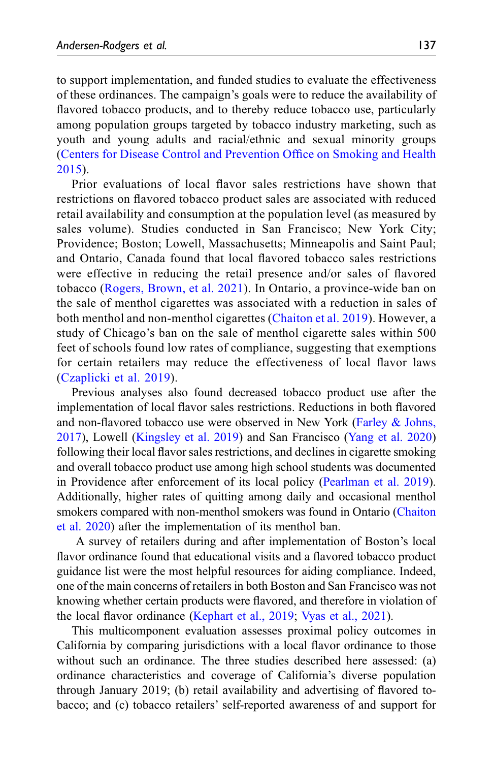to support implementation, and funded studies to evaluate the effectiveness of these ordinances. The campaign's goals were to reduce the availability of flavored tobacco products, and to thereby reduce tobacco use, particularly among population groups targeted by tobacco industry marketing, such as youth and young adults and racial/ethnic and sexual minority groups ([Centers for Disease Control and Prevention Of](#page-25-5)fice on Smoking and Health [2015\)](#page-25-5).

Prior evaluations of local flavor sales restrictions have shown that restrictions on flavored tobacco product sales are associated with reduced retail availability and consumption at the population level (as measured by sales volume). Studies conducted in San Francisco; New York City; Providence; Boston; Lowell, Massachusetts; Minneapolis and Saint Paul; and Ontario, Canada found that local flavored tobacco sales restrictions were effective in reducing the retail presence and/or sales of flavored tobacco ([Rogers, Brown, et al. 2021\)](#page-28-5). In Ontario, a province-wide ban on the sale of menthol cigarettes was associated with a reduction in sales of both menthol and non-menthol cigarettes ([Chaiton et al. 2019\)](#page-25-6). However, a study of Chicago's ban on the sale of menthol cigarette sales within 500 feet of schools found low rates of compliance, suggesting that exemptions for certain retailers may reduce the effectiveness of local flavor laws ([Czaplicki et al. 2019\)](#page-26-2).

Previous analyses also found decreased tobacco product use after the implementation of local flavor sales restrictions. Reductions in both flavored and non-flavored tobacco use were observed in New York [\(Farley & Johns,](#page-26-3) [2017\)](#page-26-3), Lowell [\(Kingsley et al. 2019\)](#page-27-4) and San Francisco ([Yang et al. 2020](#page-28-6)) following their local flavor sales restrictions, and declines in cigarette smoking and overall tobacco product use among high school students was documented in Providence after enforcement of its local policy ([Pearlman et al. 2019\)](#page-27-5). Additionally, higher rates of quitting among daily and occasional menthol smokers compared with non-menthol smokers was found in Ontario ([Chaiton](#page-25-7) [et al. 2020\)](#page-25-7) after the implementation of its menthol ban.

A survey of retailers during and after implementation of Boston's local flavor ordinance found that educational visits and a flavored tobacco product guidance list were the most helpful resources for aiding compliance. Indeed, one of the main concerns of retailers in both Boston and San Francisco was not knowing whether certain products were flavored, and therefore in violation of the local flavor ordinance [\(Kephart et al., 2019](#page-27-6); [Vyas et al., 2021\)](#page-28-7).

This multicomponent evaluation assesses proximal policy outcomes in California by comparing jurisdictions with a local flavor ordinance to those without such an ordinance. The three studies described here assessed: (a) ordinance characteristics and coverage of California's diverse population through January 2019; (b) retail availability and advertising of flavored tobacco; and (c) tobacco retailers' self-reported awareness of and support for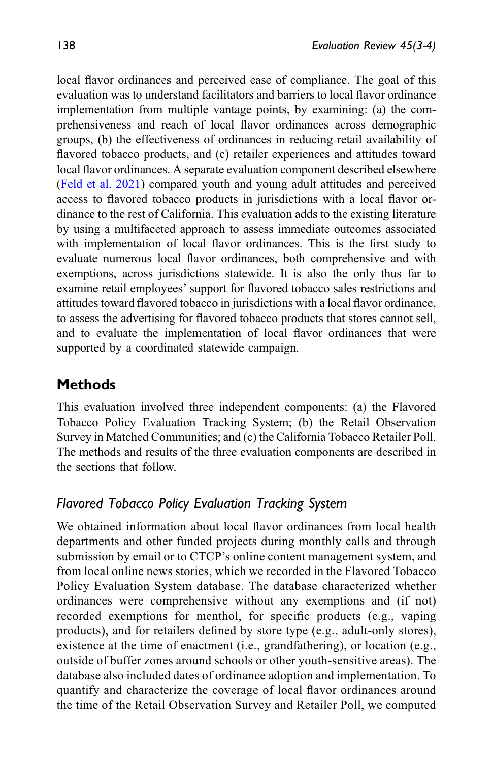local flavor ordinances and perceived ease of compliance. The goal of this evaluation was to understand facilitators and barriers to local flavor ordinance implementation from multiple vantage points, by examining: (a) the comprehensiveness and reach of local flavor ordinances across demographic groups, (b) the effectiveness of ordinances in reducing retail availability of flavored tobacco products, and (c) retailer experiences and attitudes toward local flavor ordinances. A separate evaluation component described elsewhere ([Feld et al. 2021](#page-26-4)) compared youth and young adult attitudes and perceived access to flavored tobacco products in jurisdictions with a local flavor ordinance to the rest of California. This evaluation adds to the existing literature by using a multifaceted approach to assess immediate outcomes associated with implementation of local flavor ordinances. This is the first study to evaluate numerous local flavor ordinances, both comprehensive and with exemptions, across jurisdictions statewide. It is also the only thus far to examine retail employees' support for flavored tobacco sales restrictions and attitudes toward flavored tobacco in jurisdictions with a local flavor ordinance, to assess the advertising for flavored tobacco products that stores cannot sell, and to evaluate the implementation of local flavor ordinances that were supported by a coordinated statewide campaign.

# **Methods**

This evaluation involved three independent components: (a) the Flavored Tobacco Policy Evaluation Tracking System; (b) the Retail Observation Survey in Matched Communities; and (c) the California Tobacco Retailer Poll. The methods and results of the three evaluation components are described in the sections that follow.

### Flavored Tobacco Policy Evaluation Tracking System

We obtained information about local flavor ordinances from local health departments and other funded projects during monthly calls and through submission by email or to CTCP's online content management system, and from local online news stories, which we recorded in the Flavored Tobacco Policy Evaluation System database. The database characterized whether ordinances were comprehensive without any exemptions and (if not) recorded exemptions for menthol, for specific products (e.g., vaping products), and for retailers defined by store type (e.g., adult-only stores), existence at the time of enactment (i.e., grandfathering), or location (e.g., outside of buffer zones around schools or other youth-sensitive areas). The database also included dates of ordinance adoption and implementation. To quantify and characterize the coverage of local flavor ordinances around the time of the Retail Observation Survey and Retailer Poll, we computed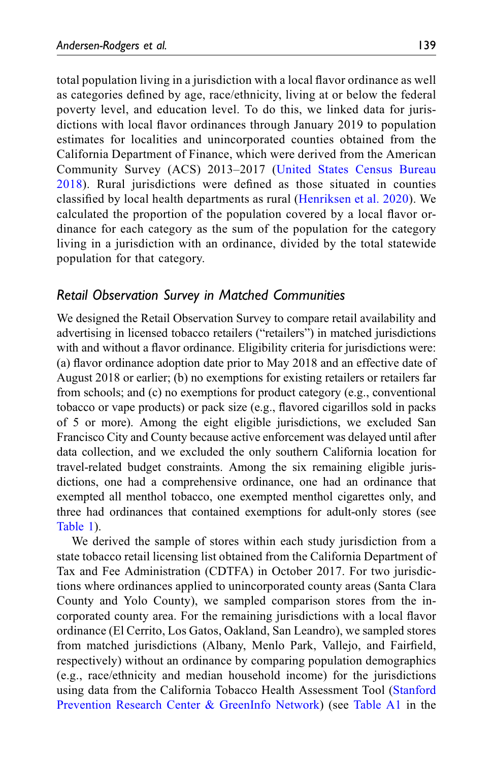total population living in a jurisdiction with a local flavor ordinance as well as categories defined by age, race/ethnicity, living at or below the federal poverty level, and education level. To do this, we linked data for jurisdictions with local flavor ordinances through January 2019 to population estimates for localities and unincorporated counties obtained from the California Department of Finance, which were derived from the American Community Survey (ACS) 2013–2017 ([United States Census Bureau](#page-28-8) [2018](#page-28-8)). Rural jurisdictions were defined as those situated in counties classified by local health departments as rural ([Henriksen et al. 2020](#page-27-7)). We calculated the proportion of the population covered by a local flavor ordinance for each category as the sum of the population for the category living in a jurisdiction with an ordinance, divided by the total statewide population for that category.

## Retail Observation Survey in Matched Communities

We designed the Retail Observation Survey to compare retail availability and advertising in licensed tobacco retailers ("retailers") in matched jurisdictions with and without a flavor ordinance. Eligibility criteria for jurisdictions were: (a) flavor ordinance adoption date prior to May 2018 and an effective date of August 2018 or earlier; (b) no exemptions for existing retailers or retailers far from schools; and (c) no exemptions for product category (e.g., conventional tobacco or vape products) or pack size (e.g., flavored cigarillos sold in packs of 5 or more). Among the eight eligible jurisdictions, we excluded San Francisco City and County because active enforcement was delayed until after data collection, and we excluded the only southern California location for travel-related budget constraints. Among the six remaining eligible jurisdictions, one had a comprehensive ordinance, one had an ordinance that exempted all menthol tobacco, one exempted menthol cigarettes only, and three had ordinances that contained exemptions for adult-only stores (see [Table 1\)](#page-6-0).

We derived the sample of stores within each study jurisdiction from a state tobacco retail licensing list obtained from the California Department of Tax and Fee Administration (CDTFA) in October 2017. For two jurisdictions where ordinances applied to unincorporated county areas (Santa Clara County and Yolo County), we sampled comparison stores from the incorporated county area. For the remaining jurisdictions with a local flavor ordinance (El Cerrito, Los Gatos, Oakland, San Leandro), we sampled stores from matched jurisdictions (Albany, Menlo Park, Vallejo, and Fairfield, respectively) without an ordinance by comparing population demographics (e.g., race/ethnicity and median household income) for the jurisdictions using data from the California Tobacco Health Assessment Tool ([Stanford](#page-28-9) [Prevention Research Center & GreenInfo Network\)](#page-28-9) (see [Table A1](#page-23-0) in the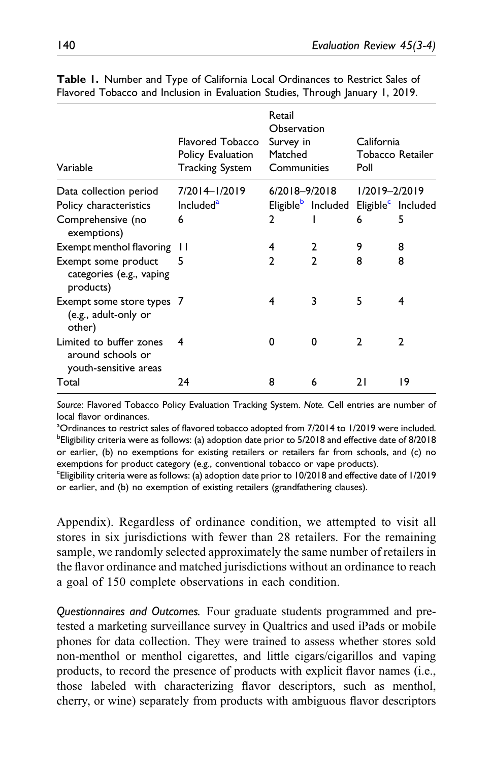| Variable                                                              | Flavored Tobacco<br>Policy Evaluation<br><b>Tracking System</b> | Retail<br>Observation<br>Survey in<br>Matched<br>Communities |                                                               | California<br>Poll | Tobacco Retailer |
|-----------------------------------------------------------------------|-----------------------------------------------------------------|--------------------------------------------------------------|---------------------------------------------------------------|--------------------|------------------|
| Data collection period                                                | 7/2014-1/2019                                                   | $6/2018 - 9/2018$                                            |                                                               | $1/2019 - 2/2019$  |                  |
| Policy characteristics                                                | Included <sup>a</sup>                                           |                                                              | Eligible <sup>b</sup> Included Eligible <sup>c</sup> Included |                    |                  |
| Comprehensive (no<br>exemptions)                                      | 6                                                               | 2                                                            |                                                               | 6                  | 5                |
| Exempt menthol flavoring                                              | ш                                                               | 4                                                            | 2                                                             | 9                  | 8                |
| Exempt some product<br>categories (e.g., vaping<br>products)          | 5                                                               | $\mathcal{P}$                                                | $\mathfrak{p}$                                                | 8                  | 8                |
| Exempt some store types 7<br>(e.g., adult-only or<br>other)           |                                                                 | 4                                                            | 3                                                             | 5                  | 4                |
| Limited to buffer zones<br>around schools or<br>youth-sensitive areas | 4                                                               | 0                                                            | 0                                                             | C                  | $\mathcal{P}$    |
| Total                                                                 | 24                                                              | 8                                                            | 6                                                             | 21                 | 19               |

Table 1. Number and Type of California Local Ordinances to Restrict Sales of Flavored Tobacco and Inclusion in Evaluation Studies, Through January 1, 2019.

<span id="page-6-0"></span>Source: Flavored Tobacco Policy Evaluation Tracking System. Note. Cell entries are number of local flavor ordinances.

<span id="page-6-2"></span><span id="page-6-1"></span><sup>a</sup>Ordinances to restrict sales of flavored tobacco adopted from 7/2014 to 1/2019 were included. <sup>b</sup>Eligibility criteria were as follows: (a) adoption date prior to 5/2018 and effective date of 8/2018 or earlier, (b) no exemptions for existing retailers or retailers far from schools, and (c) no exemptions for product category (e.g., conventional tobacco or vape products).

<span id="page-6-3"></span>c Eligibility criteria were as follows: (a) adoption date prior to 10/2018 and effective date of 1/2019 or earlier, and (b) no exemption of existing retailers (grandfathering clauses).

Appendix). Regardless of ordinance condition, we attempted to visit all stores in six jurisdictions with fewer than 28 retailers. For the remaining sample, we randomly selected approximately the same number of retailers in the flavor ordinance and matched jurisdictions without an ordinance to reach a goal of 150 complete observations in each condition.

Questionnaires and Outcomes. Four graduate students programmed and pretested a marketing surveillance survey in Qualtrics and used iPads or mobile phones for data collection. They were trained to assess whether stores sold non-menthol or menthol cigarettes, and little cigars/cigarillos and vaping products, to record the presence of products with explicit flavor names (i.e., those labeled with characterizing flavor descriptors, such as menthol, cherry, or wine) separately from products with ambiguous flavor descriptors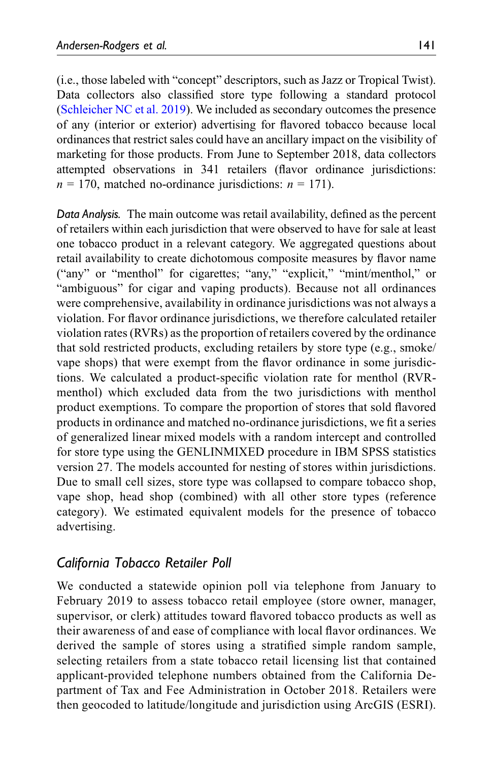(i.e., those labeled with "concept" descriptors, such as Jazz or Tropical Twist). Data collectors also classified store type following a standard protocol ([Schleicher NC et al. 2019](#page-28-10)). We included as secondary outcomes the presence of any (interior or exterior) advertising for flavored tobacco because local ordinances that restrict sales could have an ancillary impact on the visibility of marketing for those products. From June to September 2018, data collectors attempted observations in 341 retailers (flavor ordinance jurisdictions:  $n = 170$ , matched no-ordinance jurisdictions:  $n = 171$ ).

Data Analysis. The main outcome was retail availability, defined as the percent of retailers within each jurisdiction that were observed to have for sale at least one tobacco product in a relevant category. We aggregated questions about retail availability to create dichotomous composite measures by flavor name ("any" or "menthol" for cigarettes; "any," "explicit," "mint/menthol," or "ambiguous" for cigar and vaping products). Because not all ordinances were comprehensive, availability in ordinance jurisdictions was not always a violation. For flavor ordinance jurisdictions, we therefore calculated retailer violation rates (RVRs) as the proportion of retailers covered by the ordinance that sold restricted products, excluding retailers by store type (e.g., smoke/ vape shops) that were exempt from the flavor ordinance in some jurisdictions. We calculated a product-specific violation rate for menthol (RVRmenthol) which excluded data from the two jurisdictions with menthol product exemptions. To compare the proportion of stores that sold flavored products in ordinance and matched no-ordinance jurisdictions, we fit a series of generalized linear mixed models with a random intercept and controlled for store type using the GENLINMIXED procedure in IBM SPSS statistics version 27. The models accounted for nesting of stores within jurisdictions. Due to small cell sizes, store type was collapsed to compare tobacco shop, vape shop, head shop (combined) with all other store types (reference category). We estimated equivalent models for the presence of tobacco advertising.

## California Tobacco Retailer Poll

We conducted a statewide opinion poll via telephone from January to February 2019 to assess tobacco retail employee (store owner, manager, supervisor, or clerk) attitudes toward flavored tobacco products as well as their awareness of and ease of compliance with local flavor ordinances. We derived the sample of stores using a stratified simple random sample, selecting retailers from a state tobacco retail licensing list that contained applicant-provided telephone numbers obtained from the California Department of Tax and Fee Administration in October 2018. Retailers were then geocoded to latitude/longitude and jurisdiction using ArcGIS (ESRI).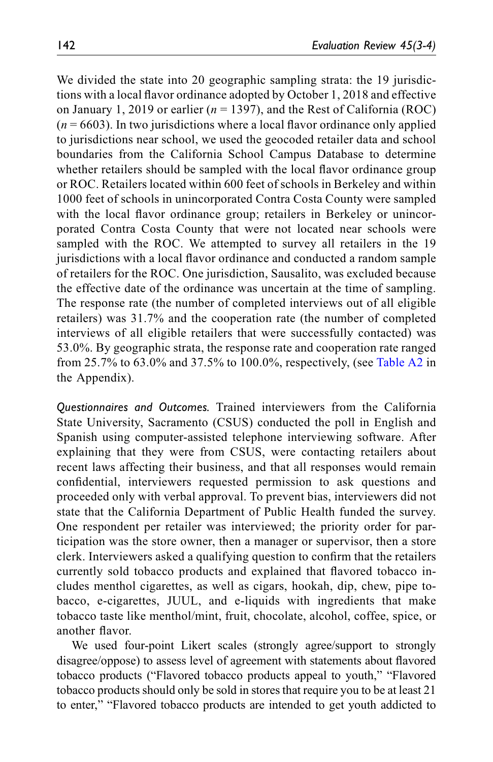We divided the state into 20 geographic sampling strata: the 19 jurisdictions with a local flavor ordinance adopted by October 1, 2018 and effective on January 1, 2019 or earlier ( $n = 1397$ ), and the Rest of California (ROC)  $(n = 6603)$ . In two jurisdictions where a local flavor ordinance only applied to jurisdictions near school, we used the geocoded retailer data and school boundaries from the California School Campus Database to determine whether retailers should be sampled with the local flavor ordinance group or ROC. Retailers located within 600 feet of schools in Berkeley and within 1000 feet of schools in unincorporated Contra Costa County were sampled with the local flavor ordinance group; retailers in Berkeley or unincorporated Contra Costa County that were not located near schools were sampled with the ROC. We attempted to survey all retailers in the 19 jurisdictions with a local flavor ordinance and conducted a random sample of retailers for the ROC. One jurisdiction, Sausalito, was excluded because the effective date of the ordinance was uncertain at the time of sampling. The response rate (the number of completed interviews out of all eligible retailers) was 31.7% and the cooperation rate (the number of completed interviews of all eligible retailers that were successfully contacted) was 53.0%. By geographic strata, the response rate and cooperation rate ranged from 25.7% to 63.0% and 37.5% to 100.0%, respectively, (see [Table A2](#page-24-0) in the Appendix).

Questionnaires and Outcomes. Trained interviewers from the California State University, Sacramento (CSUS) conducted the poll in English and Spanish using computer-assisted telephone interviewing software. After explaining that they were from CSUS, were contacting retailers about recent laws affecting their business, and that all responses would remain confidential, interviewers requested permission to ask questions and proceeded only with verbal approval. To prevent bias, interviewers did not state that the California Department of Public Health funded the survey. One respondent per retailer was interviewed; the priority order for participation was the store owner, then a manager or supervisor, then a store clerk. Interviewers asked a qualifying question to confirm that the retailers currently sold tobacco products and explained that flavored tobacco includes menthol cigarettes, as well as cigars, hookah, dip, chew, pipe tobacco, e-cigarettes, JUUL, and e-liquids with ingredients that make tobacco taste like menthol/mint, fruit, chocolate, alcohol, coffee, spice, or another flavor.

We used four-point Likert scales (strongly agree/support to strongly disagree/oppose) to assess level of agreement with statements about flavored tobacco products ("Flavored tobacco products appeal to youth," "Flavored tobacco products should only be sold in stores that require you to be at least 21 to enter," "Flavored tobacco products are intended to get youth addicted to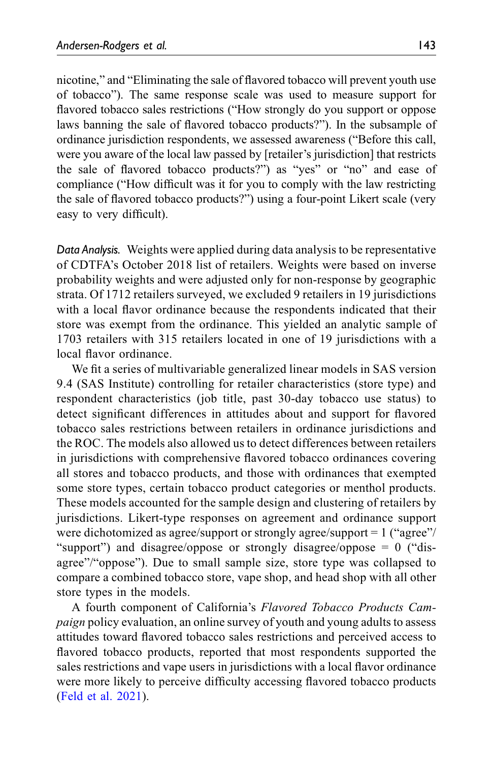nicotine," and "Eliminating the sale of flavored tobacco will prevent youth use of tobacco"). The same response scale was used to measure support for flavored tobacco sales restrictions ("How strongly do you support or oppose laws banning the sale of flavored tobacco products?"). In the subsample of ordinance jurisdiction respondents, we assessed awareness ("Before this call, were you aware of the local law passed by [retailer's jurisdiction] that restricts the sale of flavored tobacco products?") as "yes" or "no" and ease of compliance ("How difficult was it for you to comply with the law restricting the sale of flavored tobacco products?") using a four-point Likert scale (very easy to very difficult).

Data Analysis. Weights were applied during data analysis to be representative of CDTFA's October 2018 list of retailers. Weights were based on inverse probability weights and were adjusted only for non-response by geographic strata. Of 1712 retailers surveyed, we excluded 9 retailers in 19 jurisdictions with a local flavor ordinance because the respondents indicated that their store was exempt from the ordinance. This yielded an analytic sample of 1703 retailers with 315 retailers located in one of 19 jurisdictions with a local flavor ordinance.

We fit a series of multivariable generalized linear models in SAS version 9.4 (SAS Institute) controlling for retailer characteristics (store type) and respondent characteristics (job title, past 30-day tobacco use status) to detect significant differences in attitudes about and support for flavored tobacco sales restrictions between retailers in ordinance jurisdictions and the ROC. The models also allowed us to detect differences between retailers in jurisdictions with comprehensive flavored tobacco ordinances covering all stores and tobacco products, and those with ordinances that exempted some store types, certain tobacco product categories or menthol products. These models accounted for the sample design and clustering of retailers by jurisdictions. Likert-type responses on agreement and ordinance support were dichotomized as agree/support or strongly agree/support = 1 ("agree"/ "support") and disagree/oppose or strongly disagree/oppose = 0 ("disagree"/"oppose"). Due to small sample size, store type was collapsed to compare a combined tobacco store, vape shop, and head shop with all other store types in the models.

A fourth component of California's Flavored Tobacco Products Cam*paign* policy evaluation, an online survey of youth and young adults to assess attitudes toward flavored tobacco sales restrictions and perceived access to flavored tobacco products, reported that most respondents supported the sales restrictions and vape users in jurisdictions with a local flavor ordinance were more likely to perceive difficulty accessing flavored tobacco products ([Feld et al. 2021](#page-26-4)).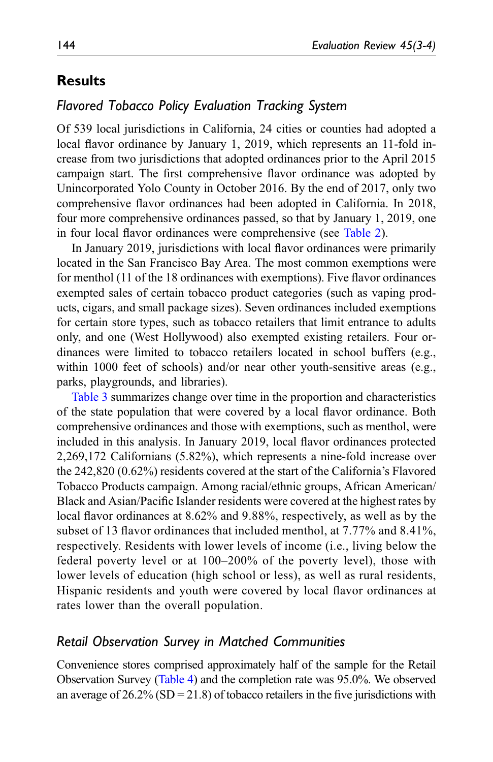# Results

## Flavored Tobacco Policy Evaluation Tracking System

Of 539 local jurisdictions in California, 24 cities or counties had adopted a local flavor ordinance by January 1, 2019, which represents an 11-fold increase from two jurisdictions that adopted ordinances prior to the April 2015 campaign start. The first comprehensive flavor ordinance was adopted by Unincorporated Yolo County in October 2016. By the end of 2017, only two comprehensive flavor ordinances had been adopted in California. In 2018, four more comprehensive ordinances passed, so that by January 1, 2019, one in four local flavor ordinances were comprehensive (see [Table 2](#page-11-0)).

In January 2019, jurisdictions with local flavor ordinances were primarily located in the San Francisco Bay Area. The most common exemptions were for menthol (11 of the 18 ordinances with exemptions). Five flavor ordinances exempted sales of certain tobacco product categories (such as vaping products, cigars, and small package sizes). Seven ordinances included exemptions for certain store types, such as tobacco retailers that limit entrance to adults only, and one (West Hollywood) also exempted existing retailers. Four ordinances were limited to tobacco retailers located in school buffers (e.g., within 1000 feet of schools) and/or near other youth-sensitive areas (e.g., parks, playgrounds, and libraries).

[Table 3](#page-13-0) summarizes change over time in the proportion and characteristics of the state population that were covered by a local flavor ordinance. Both comprehensive ordinances and those with exemptions, such as menthol, were included in this analysis. In January 2019, local flavor ordinances protected 2,269,172 Californians (5.82%), which represents a nine-fold increase over the 242,820 (0.62%) residents covered at the start of the California's Flavored Tobacco Products campaign. Among racial/ethnic groups, African American/ Black and Asian/Pacific Islander residents were covered at the highest rates by local flavor ordinances at 8.62% and 9.88%, respectively, as well as by the subset of 13 flavor ordinances that included menthol, at 7.77% and 8.41%, respectively. Residents with lower levels of income (i.e., living below the federal poverty level or at 100–200% of the poverty level), those with lower levels of education (high school or less), as well as rural residents, Hispanic residents and youth were covered by local flavor ordinances at rates lower than the overall population.

### Retail Observation Survey in Matched Communities

Convenience stores comprised approximately half of the sample for the Retail Observation Survey [\(Table 4](#page-14-0)) and the completion rate was 95.0%. We observed an average of  $26.2\%$  (SD = 21.8) of tobacco retailers in the five jurisdictions with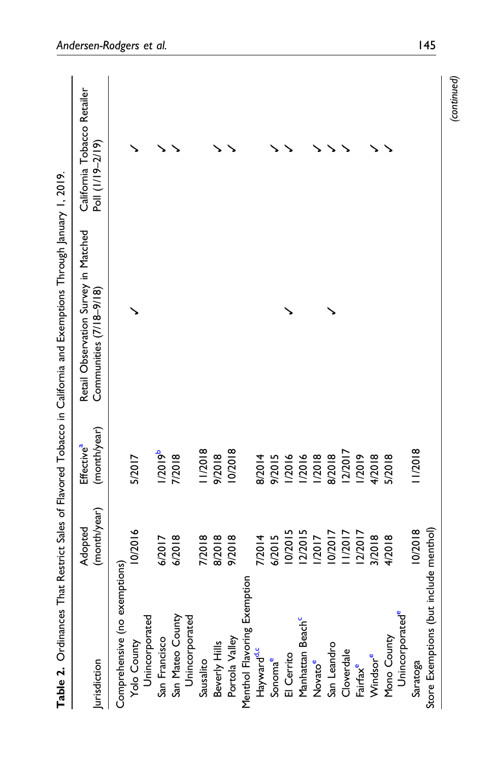<span id="page-11-0"></span>

|                                        |                         |                                        | Table 2. Ordinances That Restrict Sales of Flavored Tobacco in California and Exemptions Through January 1, 2019. |                                                 |
|----------------------------------------|-------------------------|----------------------------------------|-------------------------------------------------------------------------------------------------------------------|-------------------------------------------------|
| Jurisdiction                           | (month/year)<br>Adopted | (month/year)<br>Effective <sup>a</sup> | Retail Observation Survey in Matched<br>Communities (7/18-9/18)                                                   | California Tobacco Retailer<br>Poll (1/19-2/19) |
| Comprehensive (no exemptions)          |                         |                                        |                                                                                                                   |                                                 |
| Yolo County                            | 10/2016                 | 5/2017                                 |                                                                                                                   |                                                 |
| Unincorporated                         |                         |                                        |                                                                                                                   |                                                 |
| San Francisco                          | 6/2017                  | 1/2019 <sup>b</sup>                    |                                                                                                                   |                                                 |
| San Mateo County                       | 6/2018                  | 7/2018                                 |                                                                                                                   |                                                 |
| Unincorporated                         |                         |                                        |                                                                                                                   |                                                 |
| Sausalito                              | 7/2018                  | 11/2018                                |                                                                                                                   |                                                 |
| Beverly Hills                          | 8/2018                  | 9/2018                                 |                                                                                                                   |                                                 |
| Portola Valley                         | 9/2018                  | 10/2018                                |                                                                                                                   |                                                 |
| Menthol Flavoring Exemption            |                         |                                        |                                                                                                                   |                                                 |
| Hayward <sup>d,c</sup>                 | 7/2014                  | 8/2014                                 |                                                                                                                   |                                                 |
| Sonoma <sup>e</sup>                    | 6/2015                  | 9/2015                                 |                                                                                                                   |                                                 |
| El Cerrito                             | 10/2015                 | 1/2016                                 |                                                                                                                   |                                                 |
| Manhattan Beach <sup>c</sup>           | 12/2015                 | 1/2016                                 |                                                                                                                   |                                                 |
| Novatoe                                | 1/2017                  | 1/2018                                 |                                                                                                                   |                                                 |
| San Leandro                            | 10/2017                 | 8/2018                                 |                                                                                                                   |                                                 |
| Cloverdale                             | 1/2017                  | 12/2017                                |                                                                                                                   |                                                 |
| Fairfax <sup>e</sup>                   | 12/2017                 | 1/2019                                 |                                                                                                                   |                                                 |
| Windsor <sup>e</sup>                   | 3/2018                  | 4/2018                                 |                                                                                                                   |                                                 |
| Mono County                            | 4/2018                  | 5/2018                                 |                                                                                                                   |                                                 |
| Unincorporated <sup>e</sup>            |                         |                                        |                                                                                                                   |                                                 |
| Saratoga                               | 10/2018                 | 11/2018                                |                                                                                                                   |                                                 |
| Store Exemptions (but include menthol) |                         |                                        |                                                                                                                   |                                                 |
|                                        |                         |                                        |                                                                                                                   | (continued)                                     |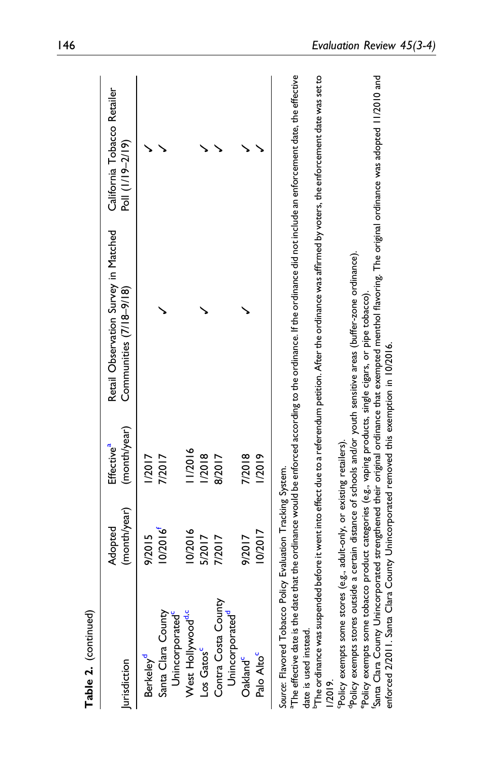<span id="page-12-5"></span><span id="page-12-4"></span><span id="page-12-3"></span><span id="page-12-2"></span><span id="page-12-1"></span><span id="page-12-0"></span>

| lurisdiction                                                                                            | (month/year)<br>Adopted | (month/year)<br>Effective <sup>a</sup> | Retail Observation Survey in Matched<br>Communities (7/18-9/18)                                                                                                               | California Tobacco Retailer<br>Poll (1/19-2/19) |
|---------------------------------------------------------------------------------------------------------|-------------------------|----------------------------------------|-------------------------------------------------------------------------------------------------------------------------------------------------------------------------------|-------------------------------------------------|
| Berkeley <sup>a</sup>                                                                                   | 9/2015                  | <b>1/2017</b>                          |                                                                                                                                                                               |                                                 |
| Santa Clara County<br>Unincorporated                                                                    | 10/2016                 | 7/2017                                 |                                                                                                                                                                               |                                                 |
| West Hollywood <sup>d.c</sup>                                                                           | 0/2016                  | 11/2016                                |                                                                                                                                                                               |                                                 |
| Los Gatos                                                                                               | 5/2017                  | 1/2018                                 |                                                                                                                                                                               |                                                 |
| Contra Costa County<br>Unincorporated"                                                                  | 7/2017                  | 8/2017                                 |                                                                                                                                                                               |                                                 |
| Oakland <sup>c</sup>                                                                                    | 9/2017                  | 7/2018                                 |                                                                                                                                                                               |                                                 |
| Palo Alto <sup>c</sup>                                                                                  | 0/2017                  | /2019                                  |                                                                                                                                                                               |                                                 |
| Source: Flavored Tobacco Policy Evaluation Tracking System.                                             |                         |                                        | "The effective date is the date that the ordinance would be enforced according to the ordinance. If the ordinance did not include an enforcement date, the effective          |                                                 |
| date is used instead.                                                                                   |                         |                                        |                                                                                                                                                                               |                                                 |
| 1/2019                                                                                                  |                         |                                        | <sup>b</sup> The ordinance was suspended before it went into effect due to a referendum petition. After the ordinance was affirmed by voters, the enforcement date was set to |                                                 |
| Policy exempts some stores (e.g., adult-only, or existing retailers).                                   |                         |                                        |                                                                                                                                                                               |                                                 |
|                                                                                                         |                         |                                        | "Policy exempts stores outside a certain distance of schools and/or youth sensitive areas (buffer-zone ordinance).                                                            |                                                 |
| Policy exempts some tobacco product categories (e.g., vaping products, single cigars, or pipe tobacco). |                         |                                        |                                                                                                                                                                               |                                                 |
| enforced 2/2011. Santa Clara County Unincorporated removed this exemption in 10/2016.                   |                         |                                        | 'Santa Clara County Unincorporated strengthened their original ordinance that exempted menthol flavoring. The original ordinance was adopted 11/2010 and                      |                                                 |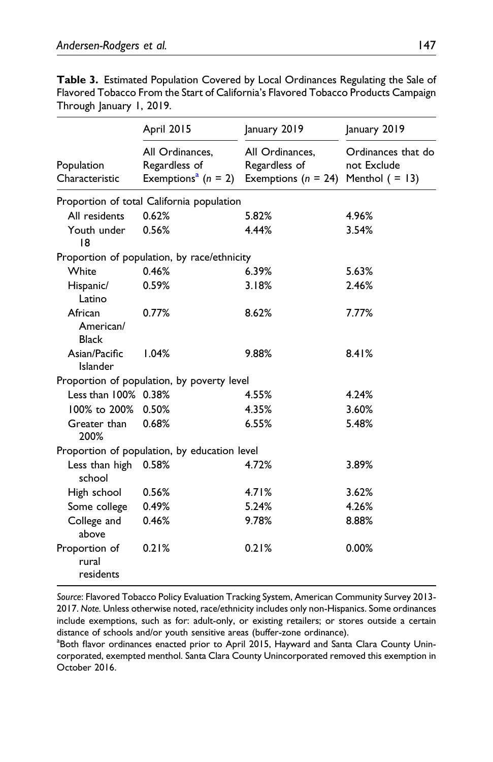| <b>Table 3.</b> Estimated Population Covered by Local Ordinances Regulating the Sale of |  |
|-----------------------------------------------------------------------------------------|--|
| Flavored Tobacco From the Start of California's Flavored Tobacco Products Campaign      |  |
| Through January 1, 2019.                                                                |  |

|                                      | April 2015                                                            | January 2019                                                               | January 2019<br>Ordinances that do<br>not Exclude |  |
|--------------------------------------|-----------------------------------------------------------------------|----------------------------------------------------------------------------|---------------------------------------------------|--|
| Population<br>Characteristic         | All Ordinances,<br>Regardless of<br>Exemptions <sup>a</sup> $(n = 2)$ | All Ordinances,<br>Regardless of<br>Exemptions ( $n = 24$ ) Menthol (= 13) |                                                   |  |
|                                      | Proportion of total California population                             |                                                                            |                                                   |  |
| All residents                        | 0.62%                                                                 | 5.82%                                                                      | 4.96%                                             |  |
| Youth under<br>18                    | 0.56%                                                                 | 4.44%                                                                      | 3.54%                                             |  |
|                                      | Proportion of population, by race/ethnicity                           |                                                                            |                                                   |  |
| White                                | 0.46%                                                                 | 6.39%                                                                      | 5.63%                                             |  |
| Hispanic/<br>Latino                  | 0.59%                                                                 | 3.18%                                                                      | 2.46%                                             |  |
| African<br>American/<br><b>Black</b> | 0.77%                                                                 | 8.62%                                                                      | 7.77%                                             |  |
| Asian/Pacific<br>Islander            | 1.04%                                                                 | 9.88%                                                                      | 8.41%                                             |  |
|                                      | Proportion of population, by poverty level                            |                                                                            |                                                   |  |
| Less than 100% 0.38%                 |                                                                       | 4.55%                                                                      | 4.24%                                             |  |
| 100% to 200%                         | 0.50%                                                                 | 4.35%                                                                      | 3.60%                                             |  |
| Greater than<br>200%                 | 0.68%                                                                 | 6.55%                                                                      | 5.48%                                             |  |
|                                      | Proportion of population, by education level                          |                                                                            |                                                   |  |
| Less than high 0.58%<br>school       |                                                                       | 4.72%                                                                      | 3.89%                                             |  |
| High school                          | 0.56%                                                                 | 4.71%                                                                      | 3.62%                                             |  |
| Some college                         | 0.49%                                                                 | 5.24%                                                                      | 4.26%                                             |  |
| College and<br>above                 | 0.46%                                                                 | 9.78%                                                                      | 8.88%                                             |  |
| Proportion of<br>rural<br>residents  | 0.21%                                                                 | 0.21%                                                                      | 0.00%                                             |  |

<span id="page-13-0"></span>Source: Flavored Tobacco Policy Evaluation Tracking System, American Community Survey 2013- 2017. Note. Unless otherwise noted, race/ethnicity includes only non-Hispanics. Some ordinances include exemptions, such as for: adult-only, or existing retailers; or stores outside a certain distance of schools and/or youth sensitive areas (buffer-zone ordinance).

<span id="page-13-1"></span><sup>a</sup> Both flavor ordinances enacted prior to April 2015, Hayward and Santa Clara County Unincorporated, exempted menthol. Santa Clara County Unincorporated removed this exemption in October 2016.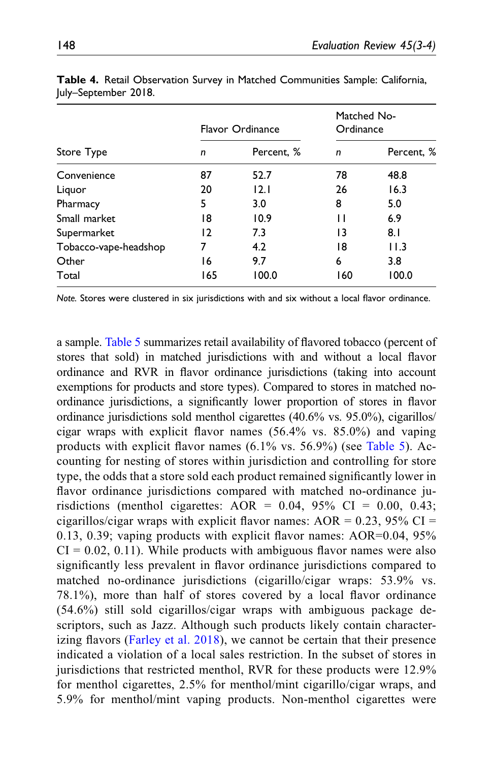|                       | Flavor Ordinance |            | Matched No-<br>Ordinance |            |
|-----------------------|------------------|------------|--------------------------|------------|
| Store Type            | n                | Percent, % | n                        | Percent, % |
| Convenience           | 87               | 52.7       | 78                       | 48.8       |
| Liquor                | 20               | 12.1       | 26                       | 16.3       |
| Pharmacy              | 5                | 3.0        | 8                        | 5.0        |
| Small market          | 18               | 10.9       | п                        | 6.9        |
| Supermarket           | 12               | 7.3        | 13                       | 8.1        |
| Tobacco-vape-headshop | 7                | 4.2        | 18                       | 11.3       |
| Other                 | 16               | 9.7        | 6                        | 3.8        |
| Total                 | 165              | 100.0      | 160                      | 100.0      |

Table 4. Retail Observation Survey in Matched Communities Sample: California, July–September 2018.

<span id="page-14-0"></span>Note. Stores were clustered in six jurisdictions with and six without a local flavor ordinance.

a sample. [Table 5](#page-15-0) summarizes retail availability of flavored tobacco (percent of stores that sold) in matched jurisdictions with and without a local flavor ordinance and RVR in flavor ordinance jurisdictions (taking into account exemptions for products and store types). Compared to stores in matched noordinance jurisdictions, a significantly lower proportion of stores in flavor ordinance jurisdictions sold menthol cigarettes (40.6% vs. 95.0%), cigarillos/ cigar wraps with explicit flavor names (56.4% vs. 85.0%) and vaping products with explicit flavor names (6.1% vs. 56.9%) (see [Table 5\)](#page-15-0). Accounting for nesting of stores within jurisdiction and controlling for store type, the odds that a store sold each product remained significantly lower in flavor ordinance jurisdictions compared with matched no-ordinance jurisdictions (menthol cigarettes:  $AOR = 0.04$ , 95%  $CI = 0.00$ , 0.43; cigarillos/cigar wraps with explicit flavor names:  $AOR = 0.23$ , 95% CI = 0.13, 0.39; vaping products with explicit flavor names: AOR=0.04, 95%  $CI = 0.02, 0.11$ . While products with ambiguous flavor names were also significantly less prevalent in flavor ordinance jurisdictions compared to matched no-ordinance jurisdictions (cigarillo/cigar wraps: 53.9% vs. 78.1%), more than half of stores covered by a local flavor ordinance (54.6%) still sold cigarillos/cigar wraps with ambiguous package descriptors, such as Jazz. Although such products likely contain characterizing flavors [\(Farley et al. 2018\)](#page-26-5), we cannot be certain that their presence indicated a violation of a local sales restriction. In the subset of stores in jurisdictions that restricted menthol, RVR for these products were 12.9% for menthol cigarettes, 2.5% for menthol/mint cigarillo/cigar wraps, and 5.9% for menthol/mint vaping products. Non-menthol cigarettes were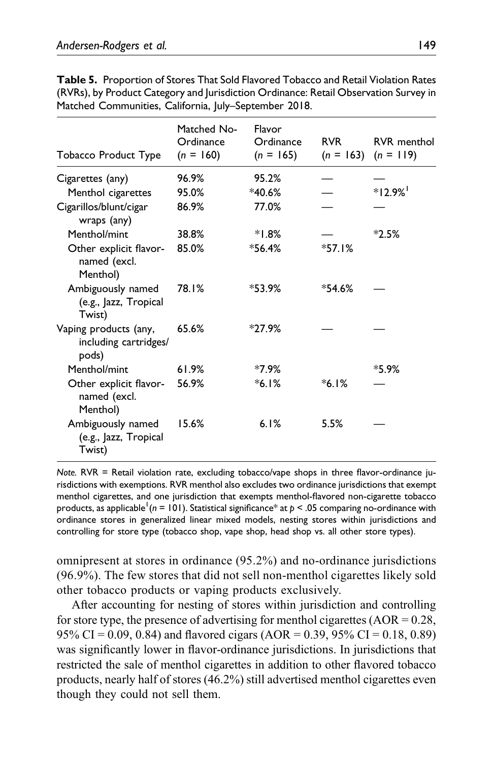| Tobacco Product Type                                    | Matched No-<br>Ordinance<br>$(n = 160)$ | Flavor<br>Ordinance<br>$(n = 165)$ | <b>RVR</b><br>$(n = 163)$ | <b>RVR</b> menthol<br>$(n = 119)$ |
|---------------------------------------------------------|-----------------------------------------|------------------------------------|---------------------------|-----------------------------------|
| Cigarettes (any)                                        | 96.9%                                   | 95.2%                              |                           |                                   |
| Menthol cigarettes                                      | 95.0%                                   | $*40.6%$                           |                           | $*12.9%$                          |
| Cigarillos/blunt/cigar<br>wraps (any)                   | 86.9%                                   | 77.0%                              |                           |                                   |
| Menthol/mint                                            | 38.8%                                   | $*1.8%$                            |                           | $*2.5%$                           |
| Other explicit flavor-<br>named (excl.<br>Menthol)      | 85.0%                                   | $*56.4%$                           | $*57.1%$                  |                                   |
| Ambiguously named<br>(e.g., Jazz, Tropical<br>Twist)    | 78.1%                                   | $*53.9%$                           | $*54.6%$                  |                                   |
| Vaping products (any,<br>including cartridges/<br>pods) | 65.6%                                   | $*27.9%$                           |                           |                                   |
| Menthol/mint                                            | 61.9%                                   | $*7.9%$                            |                           | $*5.9%$                           |
| Other explicit flavor-<br>named (excl.<br>Menthol)      | 56.9%                                   | $*6.1%$                            | $*6.1%$                   |                                   |
| Ambiguously named<br>(e.g., Jazz, Tropical<br>Twist)    | 15.6%                                   | 6.1%                               | 5.5%                      |                                   |

Table 5. Proportion of Stores That Sold Flavored Tobacco and Retail Violation Rates (RVRs), by Product Category and Jurisdiction Ordinance: Retail Observation Survey in Matched Communities, California, July–September 2018.

<span id="page-15-0"></span>Note. RVR = Retail violation rate, excluding tobacco/vape shops in three flavor-ordinance jurisdictions with exemptions. RVR menthol also excludes two ordinance jurisdictions that exempt menthol cigarettes, and one jurisdiction that exempts menthol-flavored non-cigarette tobacco products, as applicable  $(n = 101)$ . Statistical significance\* at  $p < .05$  comparing no-ordinance with ordinance stores in generalized linear mixed models, nesting stores within jurisdictions and controlling for store type (tobacco shop, vape shop, head shop vs. all other store types).

omnipresent at stores in ordinance (95.2%) and no-ordinance jurisdictions (96.9%). The few stores that did not sell non-menthol cigarettes likely sold other tobacco products or vaping products exclusively.

After accounting for nesting of stores within jurisdiction and controlling for store type, the presence of advertising for menthol cigarettes  $(AOR = 0.28,$ 95% CI = 0.09, 0.84) and flavored cigars (AOR = 0.39, 95% CI = 0.18, 0.89) was significantly lower in flavor-ordinance jurisdictions. In jurisdictions that restricted the sale of menthol cigarettes in addition to other flavored tobacco products, nearly half of stores (46.2%) still advertised menthol cigarettes even though they could not sell them.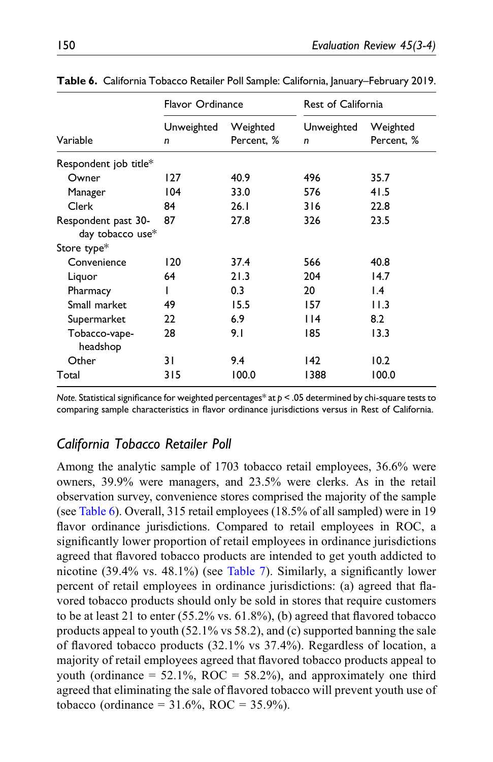|                                         | Flavor Ordinance |                        | <b>Rest of California</b> |                        |  |
|-----------------------------------------|------------------|------------------------|---------------------------|------------------------|--|
| Variable                                | Unweighted<br>n  | Weighted<br>Percent. % | Unweighted<br>n           | Weighted<br>Percent, % |  |
| Respondent job title*                   |                  |                        |                           |                        |  |
| Owner                                   | 127              | 40.9                   | 496                       | 35.7                   |  |
| Manager                                 | 104              | 33.0                   | 576                       | 41.5                   |  |
| Clerk                                   | 84               | 26.1                   | 316                       | 22.8                   |  |
| Respondent past 30-<br>day tobacco use* | 87               | 27.8                   | 326                       | 23.5                   |  |
| Store type <sup>*</sup>                 |                  |                        |                           |                        |  |
| Convenience                             | 120              | 37.4                   | 566                       | 40.8                   |  |
| Liquor                                  | 64               | 21.3                   | 204                       | 14.7                   |  |
| Pharmacy                                |                  | 0.3                    | 20                        | $\mathsf{I}$ .4        |  |
| Small market                            | 49               | 15.5                   | 157                       | 11.3                   |  |
| Supermarket                             | 22               | 6.9                    | 14                        | 8.2                    |  |
| Tobacco-vape-<br>headshop               | 28               | 9.1                    | 185                       | 13.3                   |  |
| Other                                   | 31               | 9.4                    | 142                       | 10.2                   |  |
| Total                                   | 315              | 100.0                  | 1388                      | 100.0                  |  |

Table 6. California Tobacco Retailer Poll Sample: California, January–February 2019.

<span id="page-16-0"></span>Note. Statistical significance for weighted percentages\* at  $p < .05$  determined by chi-square tests to comparing sample characteristics in flavor ordinance jurisdictions versus in Rest of California.

## California Tobacco Retailer Poll

Among the analytic sample of 1703 tobacco retail employees, 36.6% were owners, 39.9% were managers, and 23.5% were clerks. As in the retail observation survey, convenience stores comprised the majority of the sample (see [Table 6](#page-16-0)). Overall, 315 retail employees (18.5% of all sampled) were in 19 flavor ordinance jurisdictions. Compared to retail employees in ROC, a significantly lower proportion of retail employees in ordinance jurisdictions agreed that flavored tobacco products are intended to get youth addicted to nicotine (39.4% vs. 48.1%) (see [Table 7\)](#page-17-0). Similarly, a significantly lower percent of retail employees in ordinance jurisdictions: (a) agreed that flavored tobacco products should only be sold in stores that require customers to be at least 21 to enter (55.2% vs. 61.8%), (b) agreed that flavored tobacco products appeal to youth (52.1% vs 58.2), and (c) supported banning the sale of flavored tobacco products (32.1% vs 37.4%). Regardless of location, a majority of retail employees agreed that flavored tobacco products appeal to youth (ordinance =  $52.1\%$ , ROC =  $58.2\%$ ), and approximately one third agreed that eliminating the sale of flavored tobacco will prevent youth use of tobacco (ordinance =  $31.6\%$ , ROC =  $35.9\%$ ).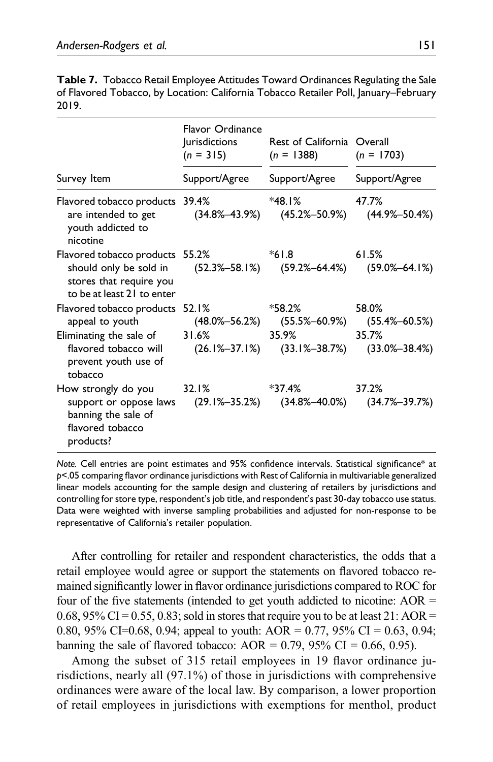| <b>Table 7.</b> Tobacco Retail Employee Attitudes Toward Ordinances Regulating the Sale |  |
|-----------------------------------------------------------------------------------------|--|
| of Flavored Tobacco, by Location: California Tobacco Retailer Poll, January–February    |  |
| 2019.                                                                                   |  |

|                                                                                                                                                              | Flavor Ordinance<br><b>urisdictions</b><br>Rest of California Overall<br>$(n = 315)$<br>$(n = 1388)$ |                                                                         | $(n = 1703)$                                     |  |
|--------------------------------------------------------------------------------------------------------------------------------------------------------------|------------------------------------------------------------------------------------------------------|-------------------------------------------------------------------------|--------------------------------------------------|--|
| Survey Item                                                                                                                                                  | Support/Agree                                                                                        | Support/Agree                                                           | Support/Agree                                    |  |
| Flavored tobacco products 39.4%<br>are intended to get<br>youth addicted to<br>nicotine                                                                      | $(34.8\% - 43.9\%)$                                                                                  | *48.1%                                                                  | 47.7%<br>$(45.2\% - 50.9\%)$ $(44.9\% - 50.4\%)$ |  |
| Flavored tobacco products 55.2%<br>should only be sold in (52.3%-58.1%) (59.2%-64.4%) (59.0%-64.1%)<br>stores that require you<br>to be at least 21 to enter |                                                                                                      | $*61.8$                                                                 | 61.5%                                            |  |
| Flavored tobacco products 52.1%<br>appeal to youth (48.0%-56.2%) (55.5%-60.9%) (55.4%-60.5%)                                                                 |                                                                                                      | $*58.2%$                                                                | 58.0%                                            |  |
| Eliminating the sale of 31.6%<br>flavored tobacco will<br>prevent youth use of<br>tobacco                                                                    |                                                                                                      | 35.9%<br>$(26.1\% - 37.1\%)$ $(33.1\% - 38.7\%)$ $(33.0\% - 38.4\%)$    | 35.7%                                            |  |
| How strongly do you<br>support or oppose laws<br>banning the sale of<br>flavored tobacco<br>products?                                                        | 32.1%                                                                                                | $*37.4%$<br>$(29.1\% - 35.2\%)$ $(34.8\% - 40.0\%)$ $(34.7\% - 39.7\%)$ | 37.2%                                            |  |

<span id="page-17-0"></span>Note. Cell entries are point estimates and 95% confidence intervals. Statistical significance\* at p<.05 comparing flavor ordinance jurisdictions with Rest of California in multivariable generalized linear models accounting for the sample design and clustering of retailers by jurisdictions and controlling for store type, respondent's job title, and respondent's past 30-day tobacco use status. Data were weighted with inverse sampling probabilities and adjusted for non-response to be representative of California's retailer population.

After controlling for retailer and respondent characteristics, the odds that a retail employee would agree or support the statements on flavored tobacco remained significantly lower in flavor ordinance jurisdictions compared to ROC for four of the five statements (intended to get youth addicted to nicotine:  $AOR =$ 0.68, 95% CI = 0.55, 0.83; sold in stores that require you to be at least 21: AOR = 0.80, 95% CI=0.68, 0.94; appeal to youth:  $AOR = 0.77$ , 95% CI = 0.63, 0.94; banning the sale of flavored tobacco: AOR =  $0.79$ ,  $95\%$  CI =  $0.66$ , 0.95).

Among the subset of 315 retail employees in 19 flavor ordinance jurisdictions, nearly all (97.1%) of those in jurisdictions with comprehensive ordinances were aware of the local law. By comparison, a lower proportion of retail employees in jurisdictions with exemptions for menthol, product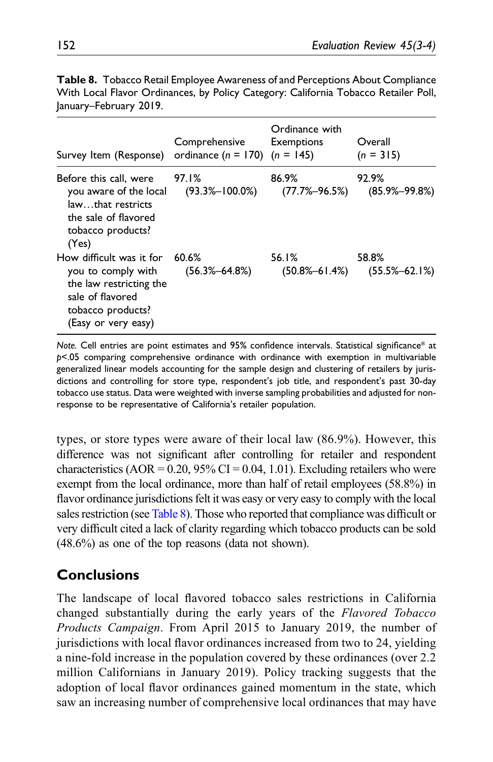| Survey Item (Response)                                                                                                                    | Comprehensive<br>ordinance $(n = 170)$ $(n = 145)$ | Ordinance with<br>Exemptions | Overall<br>$(n = 315)$       |
|-------------------------------------------------------------------------------------------------------------------------------------------|----------------------------------------------------|------------------------------|------------------------------|
| Before this call, were<br>you aware of the local<br>lawthat restricts<br>the sale of flavored<br>tobacco products?<br>(Yes)               | 97.I%<br>$(93.3\% - 100.0\%)$                      | 86.9%<br>$(77.7\% - 96.5\%)$ | 92.9%<br>$(85.9\% - 99.8\%)$ |
| How difficult was it for<br>you to comply with<br>the law restricting the<br>sale of flavored<br>tobacco products?<br>(Easy or very easy) | 60.6%<br>$(56.3\text{\textendash}\,64.8\%)$        | 56.1%<br>$(50.8\% - 61.4\%)$ | 58.8%<br>$(55.5\% - 62.1\%)$ |

Table 8. Tobacco Retail Employee Awareness of and Perceptions About Compliance With Local Flavor Ordinances, by Policy Category: California Tobacco Retailer Poll, January–February 2019.

<span id="page-18-0"></span>Note. Cell entries are point estimates and 95% confidence intervals. Statistical significance\* at p<.05 comparing comprehensive ordinance with ordinance with exemption in multivariable generalized linear models accounting for the sample design and clustering of retailers by jurisdictions and controlling for store type, respondent's job title, and respondent's past 30-day tobacco use status. Data were weighted with inverse sampling probabilities and adjusted for nonresponse to be representative of California's retailer population.

types, or store types were aware of their local law (86.9%). However, this difference was not significant after controlling for retailer and respondent characteristics (AOR =  $0.20$ ,  $95\%$  CI =  $0.04$ , 1.01). Excluding retailers who were exempt from the local ordinance, more than half of retail employees (58.8%) in flavor ordinance jurisdictions felt it was easy or very easy to comply with the local sales restriction (see [Table 8](#page-18-0)). Those who reported that compliance was difficult or very difficult cited a lack of clarity regarding which tobacco products can be sold (48.6%) as one of the top reasons (data not shown).

# **Conclusions**

The landscape of local flavored tobacco sales restrictions in California changed substantially during the early years of the Flavored Tobacco Products Campaign. From April 2015 to January 2019, the number of jurisdictions with local flavor ordinances increased from two to 24, yielding a nine-fold increase in the population covered by these ordinances (over 2.2 million Californians in January 2019). Policy tracking suggests that the adoption of local flavor ordinances gained momentum in the state, which saw an increasing number of comprehensive local ordinances that may have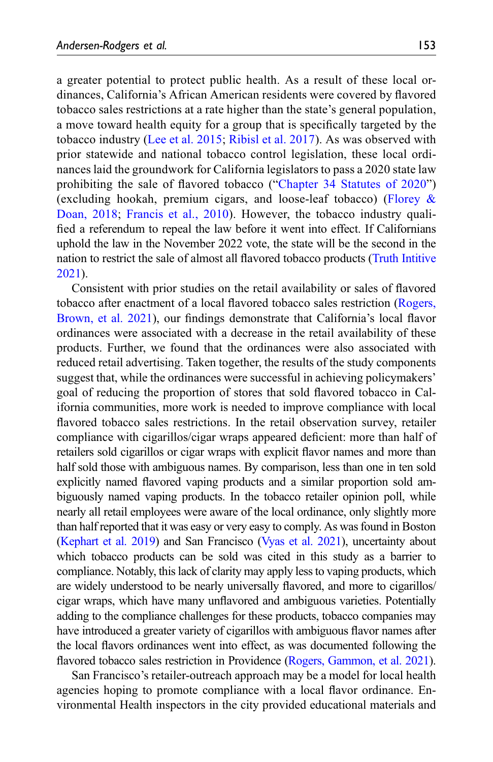a greater potential to protect public health. As a result of these local ordinances, California's African American residents were covered by flavored tobacco sales restrictions at a rate higher than the state's general population, a move toward health equity for a group that is specifically targeted by the tobacco industry ([Lee et al. 2015;](#page-27-8) [Ribisl et al. 2017](#page-27-9)). As was observed with prior statewide and national tobacco control legislation, these local ordinances laid the groundwork for California legislators to pass a 2020 state law prohibiting the sale of flavored tobacco ("[Chapter 34 Statutes of 2020](#page-26-6)") (excluding hookah, premium cigars, and loose-leaf tobacco) [\(Florey &](#page-26-7) [Doan, 2018;](#page-26-7) [Francis et al., 2010\)](#page-26-8). However, the tobacco industry qualified a referendum to repeal the law before it went into effect. If Californians uphold the law in the November 2022 vote, the state will be the second in the nation to restrict the sale of almost all flavored tobacco products [\(Truth Intitive](#page-28-11) [2021](#page-28-11)).

Consistent with prior studies on the retail availability or sales of flavored tobacco after enactment of a local flavored tobacco sales restriction ([Rogers,](#page-28-5) [Brown, et al. 2021\)](#page-28-5), our findings demonstrate that California's local flavor ordinances were associated with a decrease in the retail availability of these products. Further, we found that the ordinances were also associated with reduced retail advertising. Taken together, the results of the study components suggest that, while the ordinances were successful in achieving policymakers' goal of reducing the proportion of stores that sold flavored tobacco in California communities, more work is needed to improve compliance with local flavored tobacco sales restrictions. In the retail observation survey, retailer compliance with cigarillos/cigar wraps appeared deficient: more than half of retailers sold cigarillos or cigar wraps with explicit flavor names and more than half sold those with ambiguous names. By comparison, less than one in ten sold explicitly named flavored vaping products and a similar proportion sold ambiguously named vaping products. In the tobacco retailer opinion poll, while nearly all retail employees were aware of the local ordinance, only slightly more than half reported that it was easy or very easy to comply. As was found in Boston ([Kephart et al. 2019\)](#page-27-6) and San Francisco [\(Vyas et al. 2021](#page-28-7)), uncertainty about which tobacco products can be sold was cited in this study as a barrier to compliance. Notably, this lack of clarity may apply less to vaping products, which are widely understood to be nearly universally flavored, and more to cigarillos/ cigar wraps, which have many unflavored and ambiguous varieties. Potentially adding to the compliance challenges for these products, tobacco companies may have introduced a greater variety of cigarillos with ambiguous flavor names after the local flavors ordinances went into effect, as was documented following the flavored tobacco sales restriction in Providence ([Rogers, Gammon, et al. 2021\)](#page-28-12).

San Francisco's retailer-outreach approach may be a model for local health agencies hoping to promote compliance with a local flavor ordinance. Environmental Health inspectors in the city provided educational materials and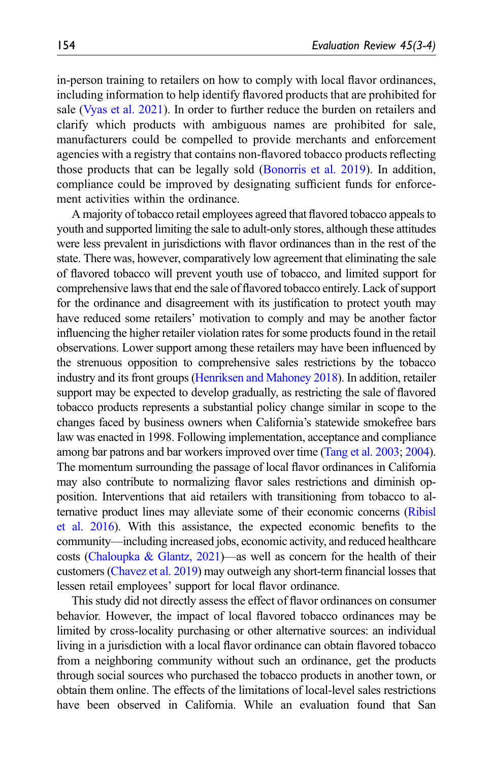in-person training to retailers on how to comply with local flavor ordinances, including information to help identify flavored products that are prohibited for sale ([Vyas et al. 2021](#page-28-7)). In order to further reduce the burden on retailers and clarify which products with ambiguous names are prohibited for sale, manufacturers could be compelled to provide merchants and enforcement agencies with a registry that contains non-flavored tobacco products reflecting those products that can be legally sold [\(Bonorris et al. 2019](#page-25-8)). In addition, compliance could be improved by designating sufficient funds for enforcement activities within the ordinance.

A majority of tobacco retail employees agreed that flavored tobacco appeals to youth and supported limiting the sale to adult-only stores, although these attitudes were less prevalent in jurisdictions with flavor ordinances than in the rest of the state. There was, however, comparatively low agreement that eliminating the sale of flavored tobacco will prevent youth use of tobacco, and limited support for comprehensive laws that end the sale of flavored tobacco entirely. Lack of support for the ordinance and disagreement with its justification to protect youth may have reduced some retailers' motivation to comply and may be another factor influencing the higher retailer violation rates for some products found in the retail observations. Lower support among these retailers may have been influenced by the strenuous opposition to comprehensive sales restrictions by the tobacco industry and its front groups ([Henriksen and Mahoney 2018](#page-27-10)). In addition, retailer support may be expected to develop gradually, as restricting the sale of flavored tobacco products represents a substantial policy change similar in scope to the changes faced by business owners when California's statewide smokefree bars law was enacted in 1998. Following implementation, acceptance and compliance among bar patrons and bar workers improved over time ([Tang et al. 2003;](#page-28-13) [2004\)](#page-28-14). The momentum surrounding the passage of local flavor ordinances in California may also contribute to normalizing flavor sales restrictions and diminish opposition. Interventions that aid retailers with transitioning from tobacco to alternative product lines may alleviate some of their economic concerns ([Ribisl](#page-27-11) [et al. 2016\)](#page-27-11). With this assistance, the expected economic benefits to the community—including increased jobs, economic activity, and reduced healthcare costs (Chaloupka & Glantz,  $2021$ )—as well as concern for the health of their customers [\(Chavez et al. 2019\)](#page-26-10) may outweigh any short-term financial losses that lessen retail employees' support for local flavor ordinance.

This study did not directly assess the effect of flavor ordinances on consumer behavior. However, the impact of local flavored tobacco ordinances may be limited by cross-locality purchasing or other alternative sources: an individual living in a jurisdiction with a local flavor ordinance can obtain flavored tobacco from a neighboring community without such an ordinance, get the products through social sources who purchased the tobacco products in another town, or obtain them online. The effects of the limitations of local-level sales restrictions have been observed in California. While an evaluation found that San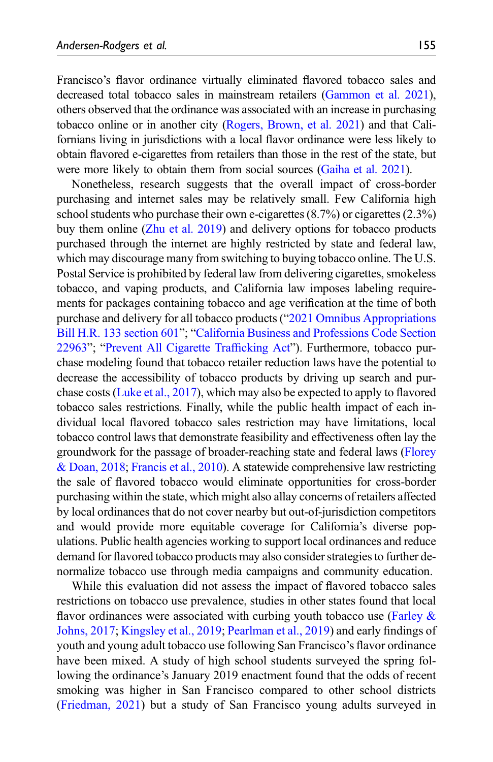Francisco's flavor ordinance virtually eliminated flavored tobacco sales and decreased total tobacco sales in mainstream retailers [\(Gammon et al. 2021\)](#page-26-11), others observed that the ordinance was associated with an increase in purchasing tobacco online or in another city ([Rogers, Brown, et al. 2021](#page-28-5)) and that Californians living in jurisdictions with a local flavor ordinance were less likely to obtain flavored e-cigarettes from retailers than those in the rest of the state, but were more likely to obtain them from social sources [\(Gaiha et al. 2021\)](#page-26-12).

Nonetheless, research suggests that the overall impact of cross-border purchasing and internet sales may be relatively small. Few California high school students who purchase their own e-cigarettes  $(8.7%)$  or cigarettes  $(2.3%)$ buy them online ([Zhu et al. 2019](#page-28-1)) and delivery options for tobacco products purchased through the internet are highly restricted by state and federal law, which may discourage many from switching to buying tobacco online. The U.S. Postal Service is prohibited by federal law from delivering cigarettes, smokeless tobacco, and vaping products, and California law imposes labeling requirements for packages containing tobacco and age verification at the time of both purchase and delivery for all tobacco products ("[2021 Omnibus Appropriations](#page-25-9) [Bill H.R. 133 section 601](#page-25-9)"; "[California Business and Professions Code Section](#page-25-10) [22963](#page-25-10)"; "[Prevent All Cigarette Traf](#page-27-12)ficking Act"). Furthermore, tobacco purchase modeling found that tobacco retailer reduction laws have the potential to decrease the accessibility of tobacco products by driving up search and purchase costs ([Luke et al., 2017](#page-27-13)), which may also be expected to apply to flavored tobacco sales restrictions. Finally, while the public health impact of each individual local flavored tobacco sales restriction may have limitations, local tobacco control laws that demonstrate feasibility and effectiveness often lay the groundwork for the passage of broader-reaching state and federal laws [\(Florey](#page-26-7) [& Doan, 2018;](#page-26-7) [Francis et al., 2010\)](#page-26-8). A statewide comprehensive law restricting the sale of flavored tobacco would eliminate opportunities for cross-border purchasing within the state, which might also allay concerns of retailers affected by local ordinances that do not cover nearby but out-of-jurisdiction competitors and would provide more equitable coverage for California's diverse populations. Public health agencies working to support local ordinances and reduce demand for flavored tobacco products may also consider strategies to further denormalize tobacco use through media campaigns and community education.

While this evaluation did not assess the impact of flavored tobacco sales restrictions on tobacco use prevalence, studies in other states found that local flavor ordinances were associated with curbing youth tobacco use (Farley  $\&$ [Johns, 2017;](#page-26-3) [Kingsley et al., 2019](#page-27-4); [Pearlman et al., 2019](#page-27-5)) and early findings of youth and young adult tobacco use following San Francisco's flavor ordinance have been mixed. A study of high school students surveyed the spring following the ordinance's January 2019 enactment found that the odds of recent smoking was higher in San Francisco compared to other school districts ([Friedman, 2021](#page-26-13)) but a study of San Francisco young adults surveyed in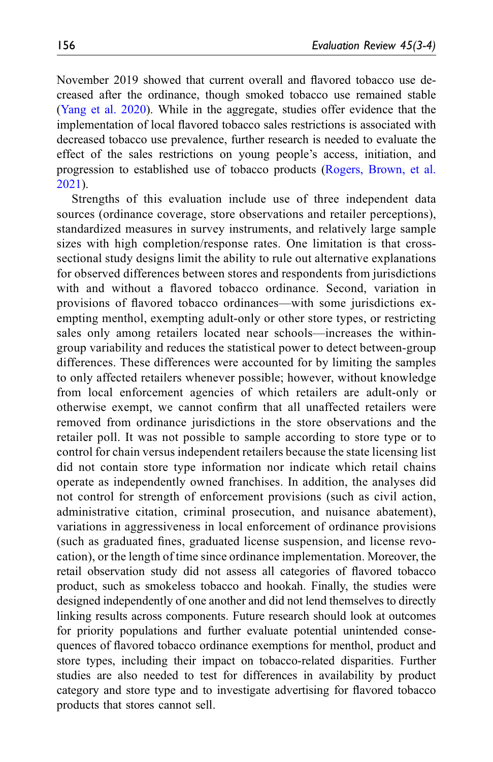November 2019 showed that current overall and flavored tobacco use decreased after the ordinance, though smoked tobacco use remained stable ([Yang et al. 2020](#page-28-6)). While in the aggregate, studies offer evidence that the implementation of local flavored tobacco sales restrictions is associated with decreased tobacco use prevalence, further research is needed to evaluate the effect of the sales restrictions on young people's access, initiation, and progression to established use of tobacco products [\(Rogers, Brown, et al.](#page-28-5) [2021\)](#page-28-5).

Strengths of this evaluation include use of three independent data sources (ordinance coverage, store observations and retailer perceptions), standardized measures in survey instruments, and relatively large sample sizes with high completion/response rates. One limitation is that crosssectional study designs limit the ability to rule out alternative explanations for observed differences between stores and respondents from jurisdictions with and without a flavored tobacco ordinance. Second, variation in provisions of flavored tobacco ordinances—with some jurisdictions exempting menthol, exempting adult-only or other store types, or restricting sales only among retailers located near schools—increases the withingroup variability and reduces the statistical power to detect between-group differences. These differences were accounted for by limiting the samples to only affected retailers whenever possible; however, without knowledge from local enforcement agencies of which retailers are adult-only or otherwise exempt, we cannot confirm that all unaffected retailers were removed from ordinance jurisdictions in the store observations and the retailer poll. It was not possible to sample according to store type or to control for chain versus independent retailers because the state licensing list did not contain store type information nor indicate which retail chains operate as independently owned franchises. In addition, the analyses did not control for strength of enforcement provisions (such as civil action, administrative citation, criminal prosecution, and nuisance abatement), variations in aggressiveness in local enforcement of ordinance provisions (such as graduated fines, graduated license suspension, and license revocation), or the length of time since ordinance implementation. Moreover, the retail observation study did not assess all categories of flavored tobacco product, such as smokeless tobacco and hookah. Finally, the studies were designed independently of one another and did not lend themselves to directly linking results across components. Future research should look at outcomes for priority populations and further evaluate potential unintended consequences of flavored tobacco ordinance exemptions for menthol, product and store types, including their impact on tobacco-related disparities. Further studies are also needed to test for differences in availability by product category and store type and to investigate advertising for flavored tobacco products that stores cannot sell.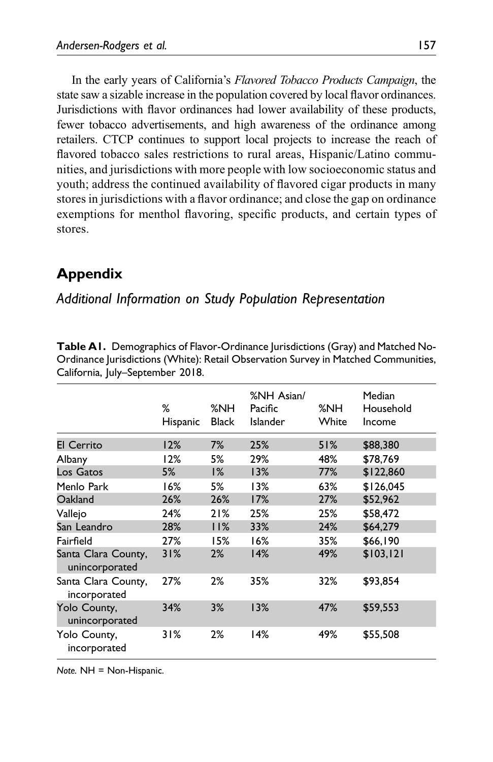In the early years of California's Flavored Tobacco Products Campaign, the state saw a sizable increase in the population covered by local flavor ordinances. Jurisdictions with flavor ordinances had lower availability of these products, fewer tobacco advertisements, and high awareness of the ordinance among retailers. CTCP continues to support local projects to increase the reach of flavored tobacco sales restrictions to rural areas, Hispanic/Latino communities, and jurisdictions with more people with low socioeconomic status and youth; address the continued availability of flavored cigar products in many stores in jurisdictions with a flavor ordinance; and close the gap on ordinance exemptions for menthol flavoring, specific products, and certain types of stores.

# Appendix

## Additional Information on Study Population Representation

|                                       | %<br>Hispanic | %NH<br><b>Black</b> | %NH Asian/<br>Pacific<br>Islander | %NH<br>White | Median<br>Household<br>Income |
|---------------------------------------|---------------|---------------------|-----------------------------------|--------------|-------------------------------|
| <b>El Cerrito</b>                     | 12%           | 7%                  | 25%                               | 51%          | \$88,380                      |
| Albany                                | 12%           | 5%                  | 29%                               | 48%          | \$78,769                      |
| Los Gatos                             | 5%            | 1%                  | 13%                               | 77%          | \$122,860                     |
| Menlo Park                            | 16%           | 5%                  | 13%                               | 63%          | \$126.045                     |
| Oakland                               | 26%           | 26%                 | 17%                               | 27%          | \$52,962                      |
| Vallejo                               | 24%           | 21%                 | 25%                               | 25%          | \$58.472                      |
| San Leandro                           | 28%           | 11%                 | 33%                               | 24%          | \$64,279                      |
| Fairfield                             | 27%           | 15%                 | 16%                               | 35%          | \$66,190                      |
| Santa Clara County,<br>unincorporated | 31%           | 2%                  | 14%                               | 49%          | \$103.121                     |
| Santa Clara County,<br>incorporated   | 27%           | 2%                  | 35%                               | 32%          | \$93,854                      |
| Yolo County,<br>unincorporated        | 34%           | 3%                  | 13%                               | 47%          | \$59,553                      |
| Yolo County,<br>incorporated          | 31%           | 2%                  | 14%                               | 49%          | \$55,508                      |

Table A1. Demographics of Flavor-Ordinance Jurisdictions (Gray) and Matched No-Ordinance Jurisdictions (White): Retail Observation Survey in Matched Communities, California, July–September 2018.

<span id="page-23-0"></span>Note. NH = Non-Hispanic.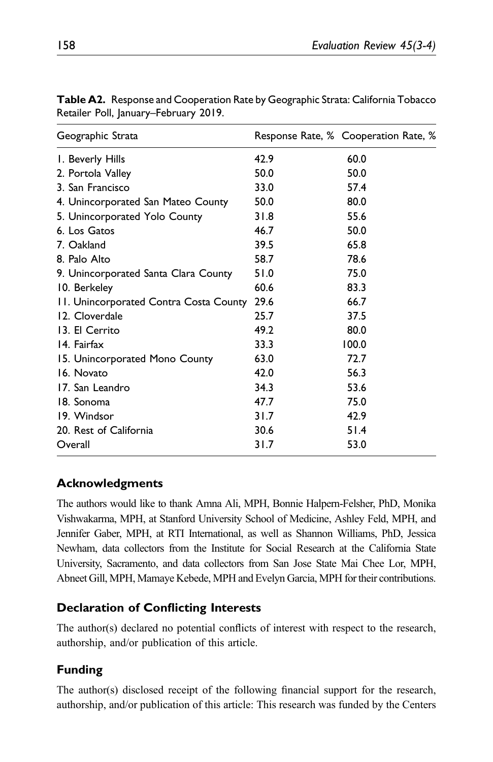| Geographic Strata                      |      | Response Rate, % Cooperation Rate, % |
|----------------------------------------|------|--------------------------------------|
| I. Beverly Hills                       | 42.9 | 60.0                                 |
| 2. Portola Valley                      | 50.0 | 50.0                                 |
| 3. San Francisco                       | 33.0 | 57.4                                 |
| 4. Unincorporated San Mateo County     | 50.0 | 80.0                                 |
| 5. Unincorporated Yolo County          | 31.8 | 55.6                                 |
| 6. Los Gatos                           | 46.7 | 50.0                                 |
| 7. Oakland                             | 39.5 | 65.8                                 |
| 8. Palo Alto                           | 58.7 | 78.6                                 |
| 9. Unincorporated Santa Clara County   | 51.0 | 75.0                                 |
| 10. Berkeley                           | 60.6 | 83.3                                 |
| 11. Unincorporated Contra Costa County | 29.6 | 66.7                                 |
| 12. Cloverdale                         | 25.7 | 37.5                                 |
| 13. El Cerrito                         | 49.2 | 80.0                                 |
| 14. Fairfax                            | 33.3 | 100.0                                |
| 15. Unincorporated Mono County         | 63.0 | 72.7                                 |
| 16. Novato                             | 42.0 | 56.3                                 |
| 17. San Leandro                        | 34.3 | 53.6                                 |
| 18. Sonoma                             | 47.7 | 75.0                                 |
| 19. Windsor                            | 31.7 | 42.9                                 |
| 20. Rest of California                 | 30.6 | 51.4                                 |
| Overall                                | 31.7 | 53.0                                 |

<span id="page-24-0"></span>Table A2. Response and Cooperation Rate by Geographic Strata: California Tobacco Retailer Poll, January–February 2019.

## Acknowledgments

The authors would like to thank Amna Ali, MPH, Bonnie Halpern-Felsher, PhD, Monika Vishwakarma, MPH, at Stanford University School of Medicine, Ashley Feld, MPH, and Jennifer Gaber, MPH, at RTI International, as well as Shannon Williams, PhD, Jessica Newham, data collectors from the Institute for Social Research at the California State University, Sacramento, and data collectors from San Jose State Mai Chee Lor, MPH, Abneet Gill, MPH, Mamaye Kebede, MPH and Evelyn Garcia, MPH for their contributions.

### Declaration of Conflicting Interests

The author(s) declared no potential conflicts of interest with respect to the research, authorship, and/or publication of this article.

## Funding

The author(s) disclosed receipt of the following financial support for the research, authorship, and/or publication of this article: This research was funded by the Centers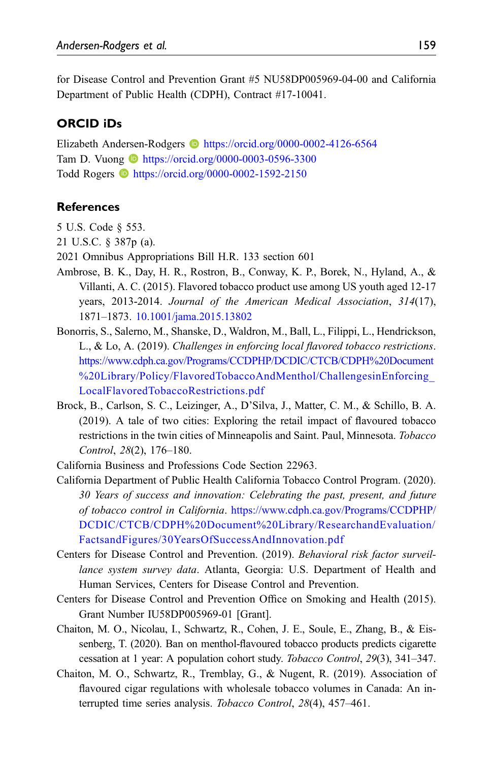for Disease Control and Prevention Grant #5 NU58DP005969-04-00 and California Department of Public Health (CDPH), Contract #17-10041.

#### ORCID iDs

Elizabeth Andersen-Rodgers <https://orcid.org/0000-0002-4126-6564> Tam D. Vuong **b** <https://orcid.org/0000-0003-0596-3300> Todd Rogers **ID** <https://orcid.org/0000-0002-1592-2150>

#### **References**

- <span id="page-25-3"></span>5 U.S. Code § 553.
- <span id="page-25-4"></span>21 U.S.C. § 387p (a).
- <span id="page-25-9"></span>2021 Omnibus Appropriations Bill H.R. 133 section 601
- <span id="page-25-2"></span>Ambrose, B. K., Day, H. R., Rostron, B., Conway, K. P., Borek, N., Hyland, A., & Villanti, A. C. (2015). Flavored tobacco product use among US youth aged 12-17 years, 2013-2014. Journal of the American Medical Association, 314(17), 1871–1873. [10.1001/jama.2015.13802](https://doi.org/10.1001/jama.2015.13802)
- <span id="page-25-8"></span>Bonorris, S., Salerno, M., Shanske, D., Waldron, M., Ball, L., Filippi, L., Hendrickson, L., & Lo, A. (2019). Challenges in enforcing local flavored tobacco restrictions. [https://www.cdph.ca.gov/Programs/CCDPHP/DCDIC/CTCB/CDPH%20Document](https://www.cdph.ca.gov/Programs/CCDPHP/DCDIC/CTCB/CDPH%20Document%20Library/Policy/FlavoredTobaccoAndMenthol/ChallengesinEnforcing_LocalFlavoredTobaccoRestrictions.pdf) [%20Library/Policy/FlavoredTobaccoAndMenthol/ChallengesinEnforcing\\_](https://www.cdph.ca.gov/Programs/CCDPHP/DCDIC/CTCB/CDPH%20Document%20Library/Policy/FlavoredTobaccoAndMenthol/ChallengesinEnforcing_LocalFlavoredTobaccoRestrictions.pdf) [LocalFlavoredTobaccoRestrictions.pdf](https://www.cdph.ca.gov/Programs/CCDPHP/DCDIC/CTCB/CDPH%20Document%20Library/Policy/FlavoredTobaccoAndMenthol/ChallengesinEnforcing_LocalFlavoredTobaccoRestrictions.pdf)
- Brock, B., Carlson, S. C., Leizinger, A., D'Silva, J., Matter, C. M., & Schillo, B. A. (2019). A tale of two cities: Exploring the retail impact of flavoured tobacco restrictions in the twin cities of Minneapolis and Saint. Paul, Minnesota. Tobacco Control, 28(2), 176–180.
- <span id="page-25-10"></span>California Business and Professions Code Section 22963.
- <span id="page-25-0"></span>California Department of Public Health California Tobacco Control Program. (2020). 30 Years of success and innovation: Celebrating the past, present, and future of tobacco control in California. [https://www.cdph.ca.gov/Programs/CCDPHP/](https://www.cdph.ca.gov/Programs/CCDPHP/DCDIC/CTCB/CDPH%20Document%20Library/ResearchandEvaluation/FactsandFigures/30YearsOfSuccessAndInnovation.pdf) [DCDIC/CTCB/CDPH%20Document%20Library/ResearchandEvaluation/](https://www.cdph.ca.gov/Programs/CCDPHP/DCDIC/CTCB/CDPH%20Document%20Library/ResearchandEvaluation/FactsandFigures/30YearsOfSuccessAndInnovation.pdf) [FactsandFigures/30YearsOfSuccessAndInnovation.pdf](https://www.cdph.ca.gov/Programs/CCDPHP/DCDIC/CTCB/CDPH%20Document%20Library/ResearchandEvaluation/FactsandFigures/30YearsOfSuccessAndInnovation.pdf)
- <span id="page-25-1"></span>Centers for Disease Control and Prevention. (2019). Behavioral risk factor surveillance system survey data. Atlanta, Georgia: U.S. Department of Health and Human Services, Centers for Disease Control and Prevention.
- <span id="page-25-5"></span>Centers for Disease Control and Prevention Office on Smoking and Health (2015). Grant Number IU58DP005969-01 [Grant].
- <span id="page-25-7"></span>Chaiton, M. O., Nicolau, I., Schwartz, R., Cohen, J. E., Soule, E., Zhang, B., & Eissenberg, T. (2020). Ban on menthol-flavoured tobacco products predicts cigarette cessation at 1 year: A population cohort study. Tobacco Control, 29(3), 341–347.
- <span id="page-25-6"></span>Chaiton, M. O., Schwartz, R., Tremblay, G., & Nugent, R. (2019). Association of flavoured cigar regulations with wholesale tobacco volumes in Canada: An interrupted time series analysis. Tobacco Control, 28(4), 457–461.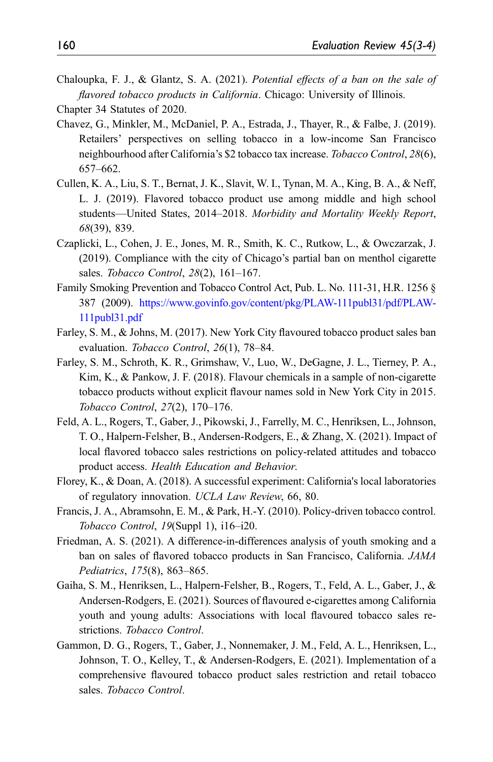<span id="page-26-9"></span>Chaloupka, F. J., & Glantz, S. A. (2021). Potential effects of a ban on the sale of flavored tobacco products in California. Chicago: University of Illinois.

- Chavez, G., Minkler, M., McDaniel, P. A., Estrada, J., Thayer, R., & Falbe, J. (2019). Retailers' perspectives on selling tobacco in a low-income San Francisco neighbourhood after California's \$2 tobacco tax increase. Tobacco Control, 28(6), 657–662.
- <span id="page-26-0"></span>Cullen, K. A., Liu, S. T., Bernat, J. K., Slavit, W. I., Tynan, M. A., King, B. A., & Neff, L. J. (2019). Flavored tobacco product use among middle and high school students—United States, 2014–2018. Morbidity and Mortality Weekly Report, 68(39), 839.
- <span id="page-26-2"></span>Czaplicki, L., Cohen, J. E., Jones, M. R., Smith, K. C., Rutkow, L., & Owczarzak, J. (2019). Compliance with the city of Chicago's partial ban on menthol cigarette sales. Tobacco Control, 28(2), 161-167.
- <span id="page-26-1"></span>Family Smoking Prevention and Tobacco Control Act, Pub. L. No. 111-31, H.R. 1256 § 387 (2009). [https://www.govinfo.gov/content/pkg/PLAW-111publ31/pdf/PLAW-](https://www.govinfo.gov/content/pkg/PLAW-111publ31/pdf/PLAW-111publ31.pdf)[111publ31.pdf](https://www.govinfo.gov/content/pkg/PLAW-111publ31/pdf/PLAW-111publ31.pdf)
- <span id="page-26-3"></span>Farley, S. M., & Johns, M. (2017). New York City flavoured tobacco product sales ban evaluation. Tobacco Control, 26(1), 78–84.
- <span id="page-26-5"></span>Farley, S. M., Schroth, K. R., Grimshaw, V., Luo, W., DeGagne, J. L., Tierney, P. A., Kim, K., & Pankow, J. F. (2018). Flavour chemicals in a sample of non-cigarette tobacco products without explicit flavour names sold in New York City in 2015. Tobacco Control, 27(2), 170–176.
- <span id="page-26-4"></span>Feld, A. L., Rogers, T., Gaber, J., Pikowski, J., Farrelly, M. C., Henriksen, L., Johnson, T. O., Halpern-Felsher, B., Andersen-Rodgers, E., & Zhang, X. (2021). Impact of local flavored tobacco sales restrictions on policy-related attitudes and tobacco product access. Health Education and Behavior.
- <span id="page-26-7"></span>Florey, K., & Doan, A. (2018). A successful experiment: California's local laboratories of regulatory innovation. UCLA Law Review, 66, 80.
- <span id="page-26-8"></span>Francis, J. A., Abramsohn, E. M., & Park, H.-Y. (2010). Policy-driven tobacco control. Tobacco Control, 19(Suppl 1), i16–i20.
- <span id="page-26-13"></span>Friedman, A. S. (2021). A difference-in-differences analysis of youth smoking and a ban on sales of flavored tobacco products in San Francisco, California. JAMA Pediatrics, 175(8), 863–865.
- <span id="page-26-12"></span>Gaiha, S. M., Henriksen, L., Halpern-Felsher, B., Rogers, T., Feld, A. L., Gaber, J., & Andersen-Rodgers, E. (2021). Sources of flavoured e-cigarettes among California youth and young adults: Associations with local flavoured tobacco sales restrictions. Tobacco Control.
- <span id="page-26-11"></span>Gammon, D. G., Rogers, T., Gaber, J., Nonnemaker, J. M., Feld, A. L., Henriksen, L., Johnson, T. O., Kelley, T., & Andersen-Rodgers, E. (2021). Implementation of a comprehensive flavoured tobacco product sales restriction and retail tobacco sales. Tobacco Control.

<span id="page-26-10"></span><span id="page-26-6"></span>Chapter 34 Statutes of 2020.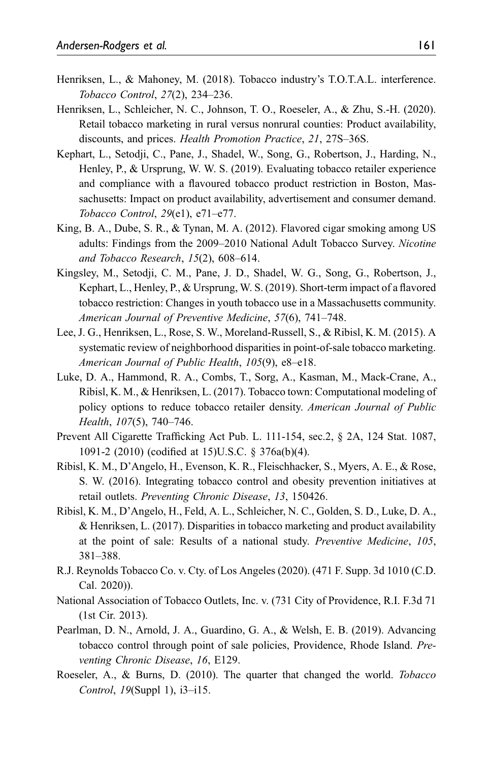- <span id="page-27-10"></span>Henriksen, L., & Mahoney, M. (2018). Tobacco industry's T.O.T.A.L. interference. Tobacco Control, 27(2), 234–236.
- <span id="page-27-7"></span>Henriksen, L., Schleicher, N. C., Johnson, T. O., Roeseler, A., & Zhu, S.-H. (2020). Retail tobacco marketing in rural versus nonrural counties: Product availability, discounts, and prices. Health Promotion Practice, 21, 27S–36S.
- <span id="page-27-6"></span>Kephart, L., Setodji, C., Pane, J., Shadel, W., Song, G., Robertson, J., Harding, N., Henley, P., & Ursprung, W. W. S. (2019). Evaluating tobacco retailer experience and compliance with a flavoured tobacco product restriction in Boston, Massachusetts: Impact on product availability, advertisement and consumer demand. Tobacco Control, 29(e1), e71–e77.
- <span id="page-27-1"></span>King, B. A., Dube, S. R., & Tynan, M. A. (2012). Flavored cigar smoking among US adults: Findings from the 2009–2010 National Adult Tobacco Survey. Nicotine and Tobacco Research, 15(2), 608–614.
- <span id="page-27-4"></span>Kingsley, M., Setodji, C. M., Pane, J. D., Shadel, W. G., Song, G., Robertson, J., Kephart, L., Henley, P., & Ursprung, W. S. (2019). Short-term impact of a flavored tobacco restriction: Changes in youth tobacco use in a Massachusetts community. American Journal of Preventive Medicine, 57(6), 741–748.
- <span id="page-27-8"></span>Lee, J. G., Henriksen, L., Rose, S. W., Moreland-Russell, S., & Ribisl, K. M. (2015). A systematic review of neighborhood disparities in point-of-sale tobacco marketing. American Journal of Public Health, 105(9), e8–e18.
- <span id="page-27-13"></span>Luke, D. A., Hammond, R. A., Combs, T., Sorg, A., Kasman, M., Mack-Crane, A., Ribisl, K. M., & Henriksen, L. (2017). Tobacco town: Computational modeling of policy options to reduce tobacco retailer density. American Journal of Public Health, 107(5), 740–746.
- <span id="page-27-12"></span>Prevent All Cigarette Trafficking Act Pub. L. 111-154, sec.2, § 2A, 124 Stat. 1087, 1091-2 (2010) (codified at 15)U.S.C. § 376a(b)(4).
- <span id="page-27-11"></span>Ribisl, K. M., D'Angelo, H., Evenson, K. R., Fleischhacker, S., Myers, A. E., & Rose, S. W. (2016). Integrating tobacco control and obesity prevention initiatives at retail outlets. Preventing Chronic Disease, 13, 150426.
- <span id="page-27-9"></span>Ribisl, K. M., D'Angelo, H., Feld, A. L., Schleicher, N. C., Golden, S. D., Luke, D. A., & Henriksen, L. (2017). Disparities in tobacco marketing and product availability at the point of sale: Results of a national study. Preventive Medicine, 105, 381–388.
- <span id="page-27-3"></span>R.J. Reynolds Tobacco Co. v. Cty. of Los Angeles (2020). (471 F. Supp. 3d 1010 (C.D. Cal. 2020)).
- <span id="page-27-2"></span>National Association of Tobacco Outlets, Inc. v. (731 City of Providence, R.I. F.3d 71 (1st Cir. 2013).
- <span id="page-27-5"></span>Pearlman, D. N., Arnold, J. A., Guardino, G. A., & Welsh, E. B. (2019). Advancing tobacco control through point of sale policies, Providence, Rhode Island. Preventing Chronic Disease, 16, E129.
- <span id="page-27-0"></span>Roeseler, A., & Burns, D. (2010). The quarter that changed the world. Tobacco Control, 19(Suppl 1), i3–i15.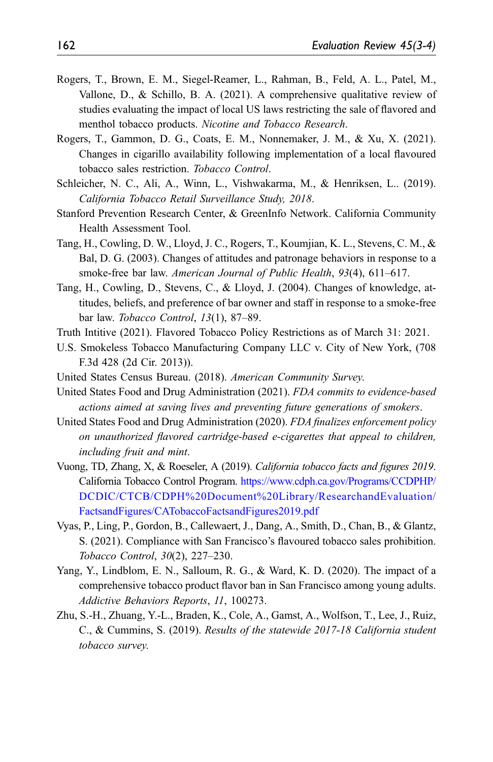- <span id="page-28-5"></span>Rogers, T., Brown, E. M., Siegel-Reamer, L., Rahman, B., Feld, A. L., Patel, M., Vallone, D., & Schillo, B. A. (2021). A comprehensive qualitative review of studies evaluating the impact of local US laws restricting the sale of flavored and menthol tobacco products. Nicotine and Tobacco Research.
- <span id="page-28-12"></span>Rogers, T., Gammon, D. G., Coats, E. M., Nonnemaker, J. M., & Xu, X. (2021). Changes in cigarillo availability following implementation of a local flavoured tobacco sales restriction. Tobacco Control.
- <span id="page-28-10"></span>Schleicher, N. C., Ali, A., Winn, L., Vishwakarma, M., & Henriksen, L.. (2019). California Tobacco Retail Surveillance Study, 2018.
- <span id="page-28-9"></span>Stanford Prevention Research Center, & GreenInfo Network. California Community Health Assessment Tool.
- <span id="page-28-13"></span>Tang, H., Cowling, D. W., Lloyd, J. C., Rogers, T., Koumjian, K. L., Stevens, C. M., & Bal, D. G. (2003). Changes of attitudes and patronage behaviors in response to a smoke-free bar law. American Journal of Public Health, 93(4), 611–617.
- <span id="page-28-14"></span>Tang, H., Cowling, D., Stevens, C., & Lloyd, J. (2004). Changes of knowledge, attitudes, beliefs, and preference of bar owner and staff in response to a smoke-free bar law. Tobacco Control, 13(1), 87–89.
- <span id="page-28-11"></span>Truth Intitive (2021). Flavored Tobacco Policy Restrictions as of March 31: 2021.
- <span id="page-28-4"></span>U.S. Smokeless Tobacco Manufacturing Company LLC v. City of New York, (708 F.3d 428 (2d Cir. 2013)).
- <span id="page-28-8"></span><span id="page-28-3"></span>United States Census Bureau. (2018). American Community Survey.
- United States Food and Drug Administration (2021). FDA commits to evidence-based actions aimed at saving lives and preventing future generations of smokers.
- <span id="page-28-2"></span>United States Food and Drug Administration (2020). FDA finalizes enforcement policy on unauthorized flavored cartridge-based e-cigarettes that appeal to children, including fruit and mint.
- <span id="page-28-0"></span>Vuong, TD, Zhang, X, & Roeseler, A (2019). California tobacco facts and figures 2019. California Tobacco Control Program. [https://www.cdph.ca.gov/Programs/CCDPHP/](https://www.cdph.ca.gov/Programs/CCDPHP/DCDIC/CTCB/CDPH%20Document%20Library/ResearchandEvaluation/FactsandFigures/CATobaccoFactsandFigures2019.pdf) [DCDIC/CTCB/CDPH%20Document%20Library/ResearchandEvaluation/](https://www.cdph.ca.gov/Programs/CCDPHP/DCDIC/CTCB/CDPH%20Document%20Library/ResearchandEvaluation/FactsandFigures/CATobaccoFactsandFigures2019.pdf) [FactsandFigures/CATobaccoFactsandFigures2019.pdf](https://www.cdph.ca.gov/Programs/CCDPHP/DCDIC/CTCB/CDPH%20Document%20Library/ResearchandEvaluation/FactsandFigures/CATobaccoFactsandFigures2019.pdf)
- <span id="page-28-7"></span>Vyas, P., Ling, P., Gordon, B., Callewaert, J., Dang, A., Smith, D., Chan, B., & Glantz, S. (2021). Compliance with San Francisco's flavoured tobacco sales prohibition. Tobacco Control, 30(2), 227–230.
- <span id="page-28-6"></span>Yang, Y., Lindblom, E. N., Salloum, R. G., & Ward, K. D. (2020). The impact of a comprehensive tobacco product flavor ban in San Francisco among young adults. Addictive Behaviors Reports, 11, 100273.
- <span id="page-28-1"></span>Zhu, S.-H., Zhuang, Y.-L., Braden, K., Cole, A., Gamst, A., Wolfson, T., Lee, J., Ruiz, C., & Cummins, S. (2019). Results of the statewide 2017-18 California student tobacco survey.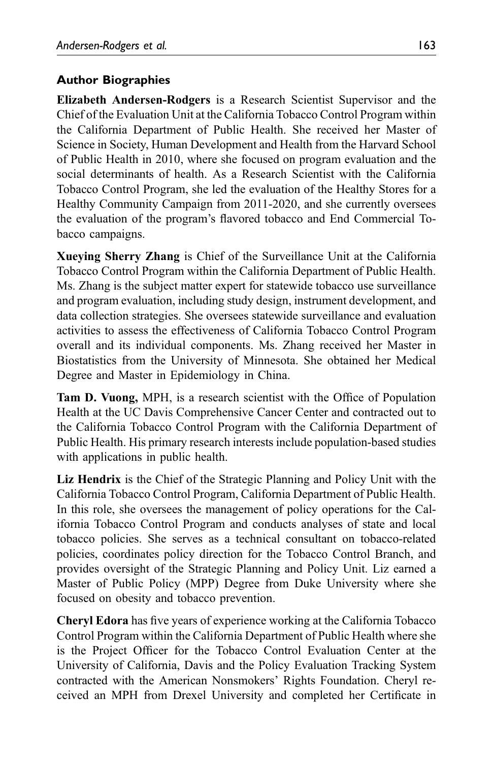### Author Biographies

Elizabeth Andersen-Rodgers is a Research Scientist Supervisor and the Chief of the Evaluation Unit at the California Tobacco Control Program within the California Department of Public Health. She received her Master of Science in Society, Human Development and Health from the Harvard School of Public Health in 2010, where she focused on program evaluation and the social determinants of health. As a Research Scientist with the California Tobacco Control Program, she led the evaluation of the Healthy Stores for a Healthy Community Campaign from 2011-2020, and she currently oversees the evaluation of the program's flavored tobacco and End Commercial Tobacco campaigns.

Xueying Sherry Zhang is Chief of the Surveillance Unit at the California Tobacco Control Program within the California Department of Public Health. Ms. Zhang is the subject matter expert for statewide tobacco use surveillance and program evaluation, including study design, instrument development, and data collection strategies. She oversees statewide surveillance and evaluation activities to assess the effectiveness of California Tobacco Control Program overall and its individual components. Ms. Zhang received her Master in Biostatistics from the University of Minnesota. She obtained her Medical Degree and Master in Epidemiology in China.

Tam D. Vuong, MPH, is a research scientist with the Office of Population Health at the UC Davis Comprehensive Cancer Center and contracted out to the California Tobacco Control Program with the California Department of Public Health. His primary research interests include population-based studies with applications in public health.

Liz Hendrix is the Chief of the Strategic Planning and Policy Unit with the California Tobacco Control Program, California Department of Public Health. In this role, she oversees the management of policy operations for the California Tobacco Control Program and conducts analyses of state and local tobacco policies. She serves as a technical consultant on tobacco-related policies, coordinates policy direction for the Tobacco Control Branch, and provides oversight of the Strategic Planning and Policy Unit. Liz earned a Master of Public Policy (MPP) Degree from Duke University where she focused on obesity and tobacco prevention.

Cheryl Edora has five years of experience working at the California Tobacco Control Program within the California Department of Public Health where she is the Project Officer for the Tobacco Control Evaluation Center at the University of California, Davis and the Policy Evaluation Tracking System contracted with the American Nonsmokers' Rights Foundation. Cheryl received an MPH from Drexel University and completed her Certificate in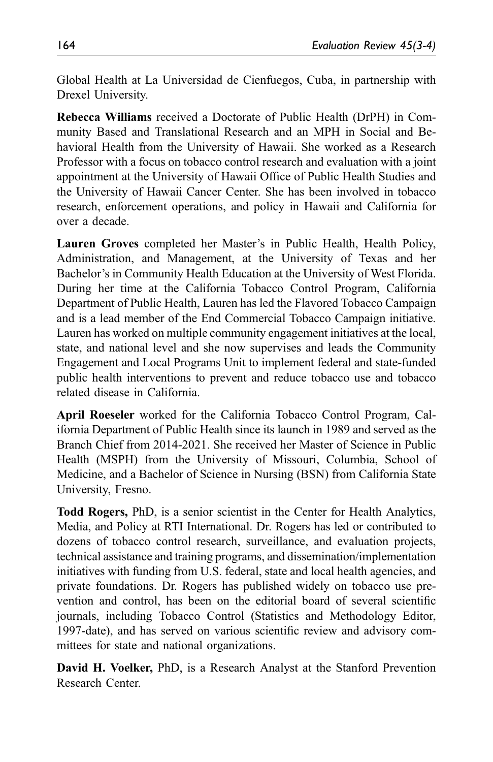Global Health at La Universidad de Cienfuegos, Cuba, in partnership with Drexel University.

Rebecca Williams received a Doctorate of Public Health (DrPH) in Community Based and Translational Research and an MPH in Social and Behavioral Health from the University of Hawaii. She worked as a Research Professor with a focus on tobacco control research and evaluation with a joint appointment at the University of Hawaii Office of Public Health Studies and the University of Hawaii Cancer Center. She has been involved in tobacco research, enforcement operations, and policy in Hawaii and California for over a decade.

Lauren Groves completed her Master's in Public Health, Health Policy, Administration, and Management, at the University of Texas and her Bachelor's in Community Health Education at the University of West Florida. During her time at the California Tobacco Control Program, California Department of Public Health, Lauren has led the Flavored Tobacco Campaign and is a lead member of the End Commercial Tobacco Campaign initiative. Lauren has worked on multiple community engagement initiatives at the local, state, and national level and she now supervises and leads the Community Engagement and Local Programs Unit to implement federal and state-funded public health interventions to prevent and reduce tobacco use and tobacco related disease in California.

April Roeseler worked for the California Tobacco Control Program, California Department of Public Health since its launch in 1989 and served as the Branch Chief from 2014-2021. She received her Master of Science in Public Health (MSPH) from the University of Missouri, Columbia, School of Medicine, and a Bachelor of Science in Nursing (BSN) from California State University, Fresno.

Todd Rogers, PhD, is a senior scientist in the Center for Health Analytics, Media, and Policy at RTI International. Dr. Rogers has led or contributed to dozens of tobacco control research, surveillance, and evaluation projects, technical assistance and training programs, and dissemination/implementation initiatives with funding from U.S. federal, state and local health agencies, and private foundations. Dr. Rogers has published widely on tobacco use prevention and control, has been on the editorial board of several scientific journals, including Tobacco Control (Statistics and Methodology Editor, 1997-date), and has served on various scientific review and advisory committees for state and national organizations.

David H. Voelker, PhD, is a Research Analyst at the Stanford Prevention Research Center.